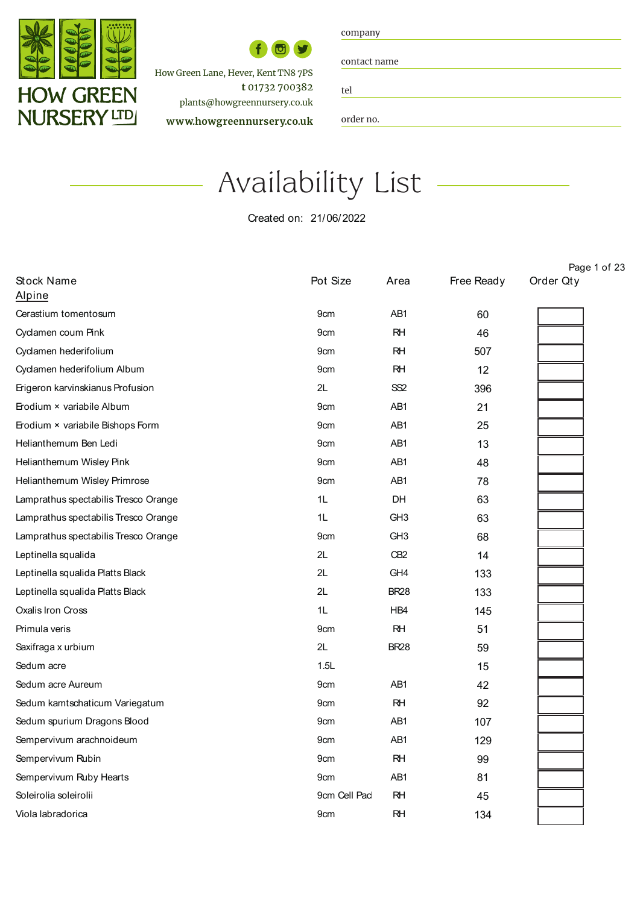

How Green Lane, Hever, Kent TN8 7PS  **t** 01732 700382 plants@howgreennursery.co.uk **w ww.howgreennursery.co.uk**

| company |
|---------|
|---------|

contact name

tel Contact names and contact names and contact names and contact names and contact names and contact names and co<br>Contact names and contact names and contact names and contact names and contact names and contact names and co

order no.

## Availability List Availability List

Created on: 21/06/2022

|                                      |                 |                 |            | Page 1 of 23 |
|--------------------------------------|-----------------|-----------------|------------|--------------|
| Stock Name                           | Pot Size        | Area            | Free Ready | Order Qty    |
| Alpine                               |                 |                 |            |              |
| Cerastium tomentosum                 | 9cm             | AB1             | 60         |              |
| Cyclamen coum Pink                   | 9cm             | <b>RH</b>       | 46         |              |
| Cyclamen hederifolium                | 9cm             | <b>RH</b>       | 507        |              |
| Cyclamen hederifolium Album          | 9cm             | <b>RH</b>       | 12         |              |
| Erigeron karvinskianus Profusion     | 2L              | SS2             | 396        |              |
| Erodium × variabile Album            | 9cm             | AB <sub>1</sub> | 21         |              |
| Erodium × variabile Bishops Form     | 9cm             | AB1             | 25         |              |
| Helianthemum Ben Ledi                | 9cm             | AB1             | 13         |              |
| Helianthemum Wisley Pink             | 9cm             | AB1             | 48         |              |
| Helianthemum Wisley Primrose         | 9 <sub>cm</sub> | AB1             | 78         |              |
| Lamprathus spectabilis Tresco Orange | 1L              | <b>DH</b>       | 63         |              |
| Lamprathus spectabilis Tresco Orange | 1L              | GH <sub>3</sub> | 63         |              |
| Lamprathus spectabilis Tresco Orange | 9cm             | GH <sub>3</sub> | 68         |              |
| Leptinella squalida                  | 2L              | C <sub>B2</sub> | 14         |              |
| Leptinella squalida Platts Black     | 2L              | GH <sub>4</sub> | 133        |              |
| Leptinella squalida Platts Black     | 2L              | <b>BR28</b>     | 133        |              |
| Oxalis Iron Cross                    | 1L              | HB4             | 145        |              |
| Primula veris                        | 9cm             | RH              | 51         |              |
| Saxifraga x urbium                   | 2L              | <b>BR28</b>     | 59         |              |
| Sedum acre                           | 1.5L            |                 | 15         |              |
| Sedum acre Aureum                    | 9cm             | AB1             | 42         |              |
| Sedum kamtschaticum Variegatum       | 9cm             | RH              | 92         |              |
| Sedum spurium Dragons Blood          | 9cm             | AB1             | 107        |              |
| Sempervivum arachnoideum             | 9cm             | AB1             | 129        |              |
| Sempervivum Rubin                    | 9cm             | <b>RH</b>       | 99         |              |
| Sempervivum Ruby Hearts              | 9 <sub>cm</sub> | AB <sub>1</sub> | 81         |              |
| Soleirolia soleirolii                | 9cm Cell Pacl   | <b>RH</b>       | 45         |              |
| Viola labradorica                    | 9cm             | RH              | 134        |              |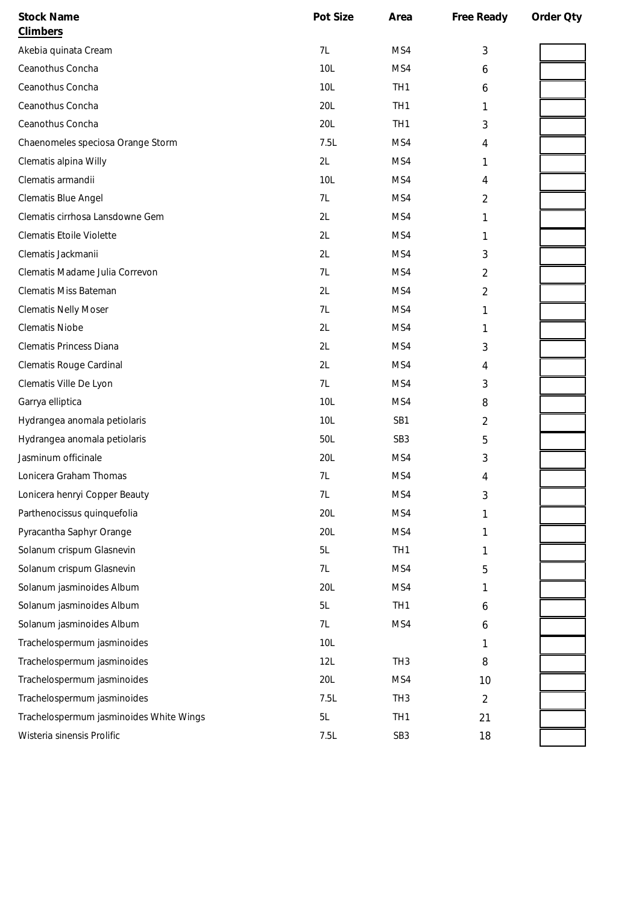| <b>Stock Name</b>                       | Pot Size | Area            | Free Ready     | Order Oty |
|-----------------------------------------|----------|-----------------|----------------|-----------|
| <b>Climbers</b>                         |          |                 |                |           |
| Akebia quinata Cream                    | 7L       | MS4             | 3              |           |
| Ceanothus Concha                        | 10L      | MS4             | 6              |           |
| Ceanothus Concha                        | 10L      | TH <sub>1</sub> | 6              |           |
| Ceanothus Concha                        | 20L      | TH <sub>1</sub> | 1              |           |
| Ceanothus Concha                        | 20L      | TH <sub>1</sub> | 3              |           |
| Chaenomeles speciosa Orange Storm       | 7.5L     | MS4             | 4              |           |
| Clematis alpina Willy                   | 2L       | MS4             | 1              |           |
| Clematis armandii                       | 10L      | MS4             | 4              |           |
| Clematis Blue Angel                     | 7L       | MS4             | 2              |           |
| Clematis cirrhosa Lansdowne Gem         | 2L       | MS4             | 1              |           |
| Clematis Etoile Violette                | 2L       | MS4             | 1              |           |
| Clematis Jackmanii                      | 2L       | MS4             | 3              |           |
| Clematis Madame Julia Correvon          | 7L       | MS4             | 2              |           |
| Clematis Miss Bateman                   | 2L       | MS4             | 2              |           |
| <b>Clematis Nelly Moser</b>             | 7L       | MS4             | 1              |           |
| <b>Clematis Niobe</b>                   | 2L       | MS4             | 1              |           |
| Clematis Princess Diana                 | 2L       | MS4             | 3              |           |
| Clematis Rouge Cardinal                 | 2L       | MS4             | 4              |           |
| Clematis Ville De Lyon                  | 7L       | MS4             | 3              |           |
| Garrya elliptica                        | 10L      | MS4             | 8              |           |
| Hydrangea anomala petiolaris            | 10L      | SB1             | 2              |           |
| Hydrangea anomala petiolaris            | 50L      | SB <sub>3</sub> | 5              |           |
| Jasminum officinale                     | 20L      | MS4             | 3              |           |
| Lonicera Graham Thomas                  | 7L       | MS4             | 4              |           |
| Lonicera henryi Copper Beauty           | 7L       | MS4             | 3              |           |
| Parthenocissus quinquefolia             | 20L      | MS4             |                |           |
| Pyracantha Saphyr Orange                | 20L      | MS4             | 1              |           |
| Solanum crispum Glasnevin               | 5L       | TH <sub>1</sub> | 1              |           |
| Solanum crispum Glasnevin               | 7L       | MS4             | 5              |           |
| Solanum jasminoides Album               | 20L      | MS4             | 1              |           |
| Solanum jasminoides Album               | 5L       | TH <sub>1</sub> | 6              |           |
| Solanum jasminoides Album               | 7L       | MS4             | 6              |           |
| Trachelospermum jasminoides             | 10L      |                 | 1              |           |
| Trachelospermum jasminoides             | 12L      | TH <sub>3</sub> | 8              |           |
| Trachelospermum jasminoides             | 20L      | MS4             | 10             |           |
| Trachelospermum jasminoides             | 7.5L     | TH <sub>3</sub> | $\overline{2}$ |           |
| Trachelospermum jasminoides White Wings | 5L       | TH <sub>1</sub> | 21             |           |
| Wisteria sinensis Prolific              | 7.5L     | SB <sub>3</sub> | 18             |           |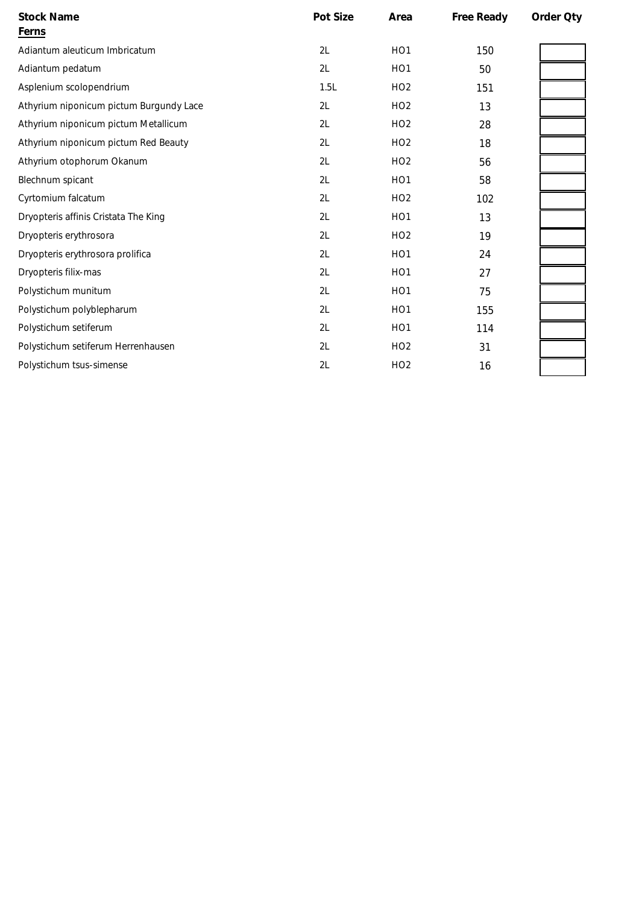| <b>Stock Name</b><br><b>Ferns</b>       | Pot Size | Area            | Free Ready | Order Qty |
|-----------------------------------------|----------|-----------------|------------|-----------|
| Adiantum aleuticum Imbricatum           | 2L       | HO <sub>1</sub> | 150        |           |
| Adiantum pedatum                        | 2L       | HO <sub>1</sub> | 50         |           |
| Asplenium scolopendrium                 | 1.5L     | HO <sub>2</sub> | 151        |           |
| Athyrium niponicum pictum Burgundy Lace | 2L       | HO <sub>2</sub> | 13         |           |
| Athyrium niponicum pictum Metallicum    | 2L       | HO <sub>2</sub> | 28         |           |
| Athyrium niponicum pictum Red Beauty    | 2L       | HO <sub>2</sub> | 18         |           |
| Athyrium otophorum Okanum               | 2L       | HO <sub>2</sub> | 56         |           |
| Blechnum spicant                        | 2L       | HO <sub>1</sub> | 58         |           |
| Cyrtomium falcatum                      | 2L       | HO <sub>2</sub> | 102        |           |
| Dryopteris affinis Cristata The King    | 2L       | HO <sub>1</sub> | 13         |           |
| Dryopteris erythrosora                  | 2L       | HO <sub>2</sub> | 19         |           |
| Dryopteris erythrosora prolifica        | 2L       | HO <sub>1</sub> | 24         |           |
| Dryopteris filix-mas                    | 2L       | HO <sub>1</sub> | 27         |           |
| Polystichum munitum                     | 2L       | HO <sub>1</sub> | 75         |           |
| Polystichum polyblepharum               | 2L       | HO <sub>1</sub> | 155        |           |
| Polystichum setiferum                   | 2L       | HO <sub>1</sub> | 114        |           |
| Polystichum setiferum Herrenhausen      | 2L       | HO <sub>2</sub> | 31         |           |
| Polystichum tsus-simense                | 2L       | HO <sub>2</sub> | 16         |           |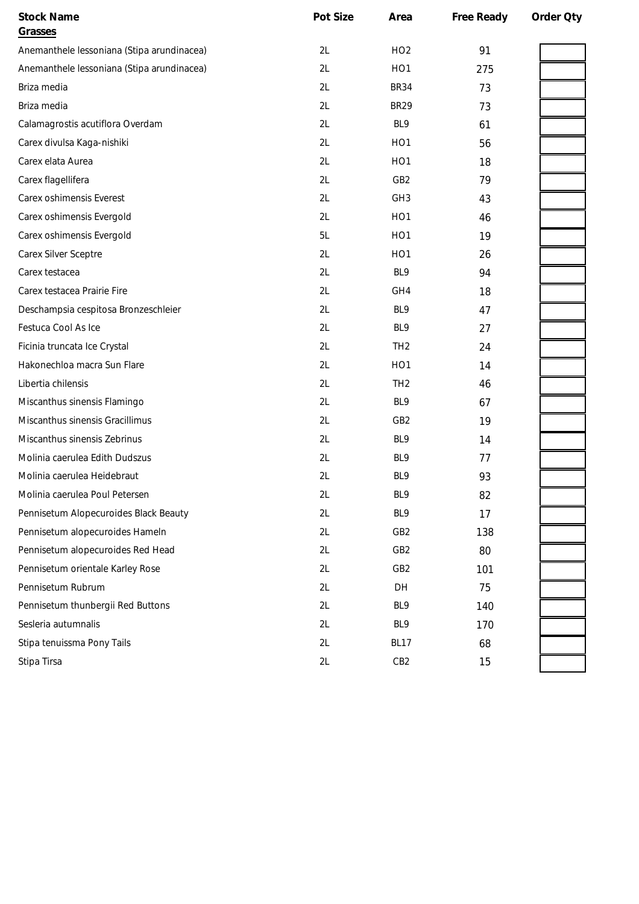| <b>Stock Name</b><br>Grasses               | Pot Size | Area             | Free Ready | Order Qty |
|--------------------------------------------|----------|------------------|------------|-----------|
| Anemanthele lessoniana (Stipa arundinacea) | 2L       | HO <sub>2</sub>  | 91         |           |
| Anemanthele lessoniana (Stipa arundinacea) | 2L       | HO <sub>1</sub>  | 275        |           |
| Briza media                                | 2L       | <b>BR34</b>      | 73         |           |
| Briza media                                | 2L       | <b>BR29</b>      | 73         |           |
| Calamagrostis acutiflora Overdam           | 2L       | BL9              | 61         |           |
| Carex divulsa Kaga-nishiki                 | 2L       | HO <sub>1</sub>  | 56         |           |
| Carex elata Aurea                          | 2L       | HO <sub>1</sub>  | 18         |           |
| Carex flagellifera                         | 2L       | GB <sub>2</sub>  | 79         |           |
| Carex oshimensis Everest                   | 2L       | GH <sub>3</sub>  | 43         |           |
| Carex oshimensis Evergold                  | 2L       | HO <sub>1</sub>  | 46         |           |
| Carex oshimensis Evergold                  | 5L       | HO <sub>1</sub>  | 19         |           |
| Carex Silver Sceptre                       | 2L       | HO <sub>1</sub>  | 26         |           |
| Carex testacea                             | 2L       | BL9              | 94         |           |
| Carex testacea Prairie Fire                | 2L       | GH4              | 18         |           |
| Deschampsia cespitosa Bronzeschleier       | 2L       | BL9              | 47         |           |
| Festuca Cool As Ice                        | 2L       | BL9              | 27         |           |
| Ficinia truncata Ice Crystal               | 2L       | TH <sub>2</sub>  | 24         |           |
| Hakonechloa macra Sun Flare                | 2L       | H <sub>O</sub> 1 | 14         |           |
| Libertia chilensis                         | 2L       | TH <sub>2</sub>  | 46         |           |
| Miscanthus sinensis Flamingo               | 2L       | BL9              | 67         |           |
| Miscanthus sinensis Gracillimus            | 2L       | GB <sub>2</sub>  | 19         |           |
| Miscanthus sinensis Zebrinus               | 2L       | BL9              | 14         |           |
| Molinia caerulea Edith Dudszus             | 2L       | BL9              | 77         |           |
| Molinia caerulea Heidebraut                | 2L       | BL9              | 93         |           |
| Molinia caerulea Poul Petersen             | 2L       | BL9              | 82         |           |
| Pennisetum Alopecuroides Black Beauty      | 2L       | BL9              | 17         |           |
| Pennisetum alopecuroides Hameln            | 2L       | GB <sub>2</sub>  | 138        |           |
| Pennisetum alopecuroides Red Head          | 2L       | GB <sub>2</sub>  | 80         |           |
| Pennisetum orientale Karley Rose           | 2L       | GB <sub>2</sub>  | 101        |           |
| Pennisetum Rubrum                          | 2L       | DH               | 75         |           |
| Pennisetum thunbergii Red Buttons          | 2L       | BL9              | 140        |           |
| Sesleria autumnalis                        | 2L       | BL9              | 170        |           |
| Stipa tenuissma Pony Tails                 | 2L       | <b>BL17</b>      | 68         |           |
| Stipa Tirsa                                | 2L       | CB <sub>2</sub>  | 15         |           |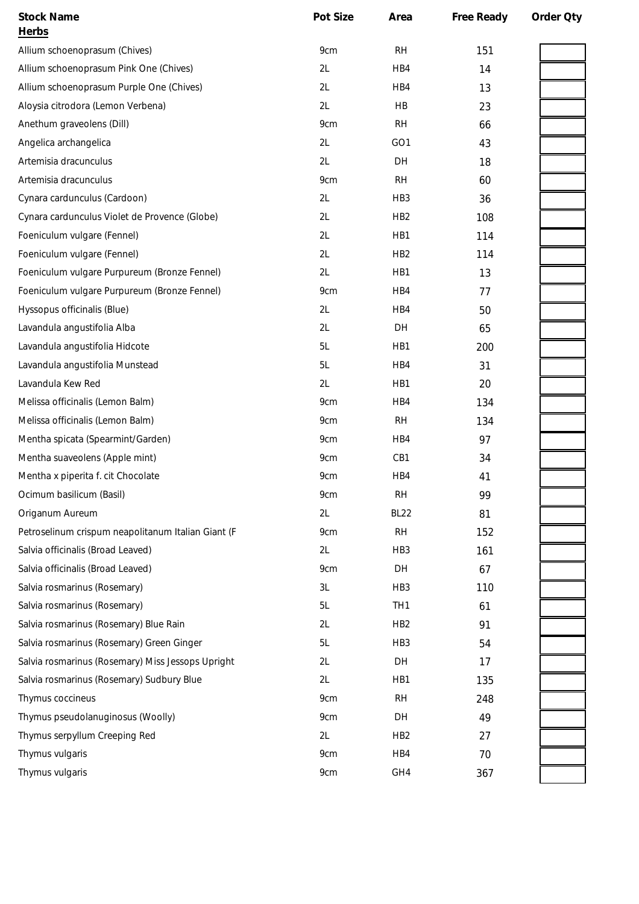| <b>Stock Name</b>                                  | Pot Size | Area            | Free Ready | Order Qty |
|----------------------------------------------------|----------|-----------------|------------|-----------|
| Herbs                                              |          |                 |            |           |
| Allium schoenoprasum (Chives)                      | 9cm      | <b>RH</b>       | 151        |           |
| Allium schoenoprasum Pink One (Chives)             | 2L       | HB4             | 14         |           |
| Allium schoenoprasum Purple One (Chives)           | 2L       | HB4             | 13         |           |
| Aloysia citrodora (Lemon Verbena)                  | 2L       | HB              | 23         |           |
| Anethum graveolens (Dill)                          | 9cm      | <b>RH</b>       | 66         |           |
| Angelica archangelica                              | 2L       | GO <sub>1</sub> | 43         |           |
| Artemisia dracunculus                              | 2L       | DH              | 18         |           |
| Artemisia dracunculus                              | 9cm      | <b>RH</b>       | 60         |           |
| Cynara cardunculus (Cardoon)                       | 2L       | HB <sub>3</sub> | 36         |           |
| Cynara cardunculus Violet de Provence (Globe)      | 2L       | HB <sub>2</sub> | 108        |           |
| Foeniculum vulgare (Fennel)                        | 2L       | HB1             | 114        |           |
| Foeniculum vulgare (Fennel)                        | 2L       | HB <sub>2</sub> | 114        |           |
| Foeniculum vulgare Purpureum (Bronze Fennel)       | 2L       | HB1             | 13         |           |
| Foeniculum vulgare Purpureum (Bronze Fennel)       | 9cm      | HB4             | 77         |           |
| Hyssopus officinalis (Blue)                        | 2L       | HB4             | 50         |           |
| Lavandula angustifolia Alba                        | 2L       | DH              | 65         |           |
| Lavandula angustifolia Hidcote                     | 5L       | HB1             | 200        |           |
| Lavandula angustifolia Munstead                    | 5L       | HB4             | 31         |           |
| Lavandula Kew Red                                  | 2L       | HB1             | 20         |           |
| Melissa officinalis (Lemon Balm)                   | 9cm      | HB4             | 134        |           |
| Melissa officinalis (Lemon Balm)                   | 9cm      | <b>RH</b>       | 134        |           |
| Mentha spicata (Spearmint/Garden)                  | 9cm      | HB4             | 97         |           |
| Mentha suaveolens (Apple mint)                     | 9cm      | CB1             | 34         |           |
| Mentha x piperita f. cit Chocolate                 | 9cm      | HB4             | 41         |           |
| Ocimum basilicum (Basil)                           | 9cm      | <b>RH</b>       | 99         |           |
| Origanum Aureum                                    | 2L       | <b>BL22</b>     | 81         |           |
| Petroselinum crispum neapolitanum Italian Giant (F | 9cm      | RH              | 152        |           |
| Salvia officinalis (Broad Leaved)                  | 2L       | HB <sub>3</sub> | 161        |           |
| Salvia officinalis (Broad Leaved)                  | 9cm      | DH              | 67         |           |
| Salvia rosmarinus (Rosemary)                       | 3L       | HB <sub>3</sub> | 110        |           |
| Salvia rosmarinus (Rosemary)                       | 5L       | TH <sub>1</sub> | 61         |           |
| Salvia rosmarinus (Rosemary) Blue Rain             | 2L       | HB <sub>2</sub> | 91         |           |
| Salvia rosmarinus (Rosemary) Green Ginger          | 5L       | HB <sub>3</sub> | 54         |           |
| Salvia rosmarinus (Rosemary) Miss Jessops Upright  | 2L       | DH              | 17         |           |
| Salvia rosmarinus (Rosemary) Sudbury Blue          | 2L       | HB1             | 135        |           |
| Thymus coccineus                                   | 9cm      | <b>RH</b>       | 248        |           |
| Thymus pseudolanuginosus (Woolly)                  | 9cm      | DH              | 49         |           |
| Thymus serpyllum Creeping Red                      | 2L       | HB <sub>2</sub> | 27         |           |
| Thymus vulgaris                                    | 9cm      | HB4             | 70         |           |
| Thymus vulgaris                                    | 9cm      | GH4             | 367        |           |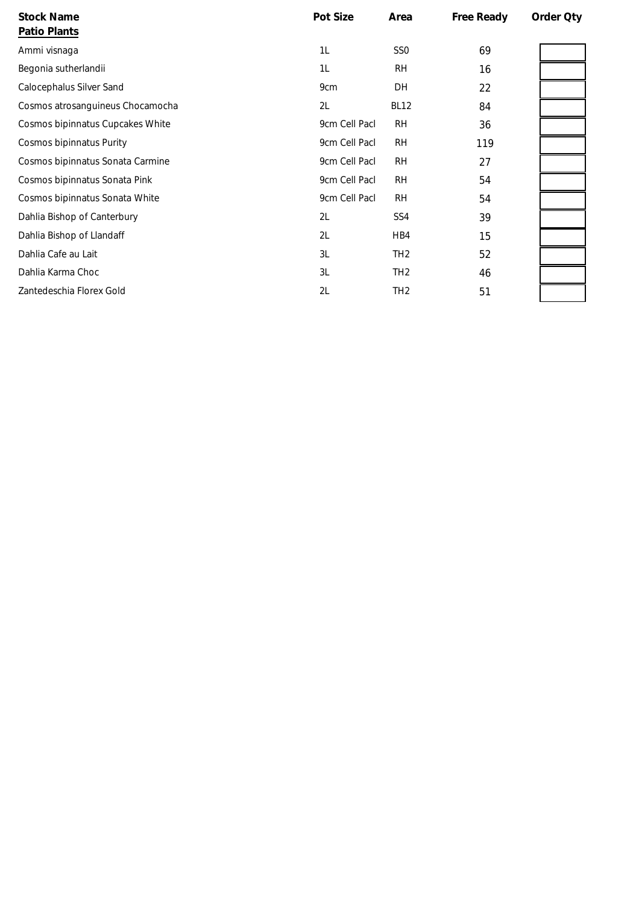| <b>Stock Name</b><br>Patio Plants | Pot Size      | Area            | Free Ready | Order Qty |
|-----------------------------------|---------------|-----------------|------------|-----------|
| Ammi visnaga                      | 1L            | SS <sub>0</sub> | 69         |           |
| Begonia sutherlandii              | 1L            | <b>RH</b>       | 16         |           |
| Calocephalus Silver Sand          | 9cm           | DH              | 22         |           |
| Cosmos atrosanguineus Chocamocha  | 2L            | <b>BL12</b>     | 84         |           |
| Cosmos bipinnatus Cupcakes White  | 9cm Cell Pacl | <b>RH</b>       | 36         |           |
| <b>Cosmos bipinnatus Purity</b>   | 9cm Cell Pacl | <b>RH</b>       | 119        |           |
| Cosmos bipinnatus Sonata Carmine  | 9cm Cell Pacl | <b>RH</b>       | 27         |           |
| Cosmos bipinnatus Sonata Pink     | 9cm Cell Pacl | <b>RH</b>       | 54         |           |
| Cosmos bipinnatus Sonata White    | 9cm Cell Pacl | <b>RH</b>       | 54         |           |
| Dahlia Bishop of Canterbury       | 2L            | SS <sub>4</sub> | 39         |           |
| Dahlia Bishop of Llandaff         | 2L            | HB4             | 15         |           |
| Dahlia Cafe au Lait               | 3L            | TH <sub>2</sub> | 52         |           |
| Dahlia Karma Choc                 | 3L            | TH <sub>2</sub> | 46         |           |
| Zantedeschia Florex Gold          | 2L            | TH <sub>2</sub> | 51         |           |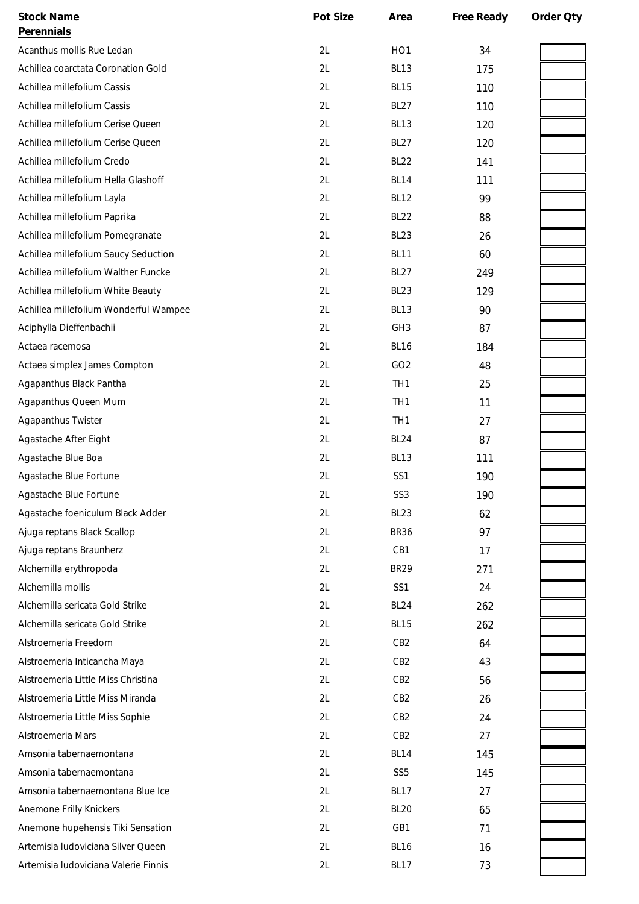| <b>Stock Name</b>                     | Pot Size | Area            | Free Ready | Order Oty |
|---------------------------------------|----------|-----------------|------------|-----------|
| Perennials                            |          |                 |            |           |
| Acanthus mollis Rue Ledan             | 2L       | HO <sub>1</sub> | 34         |           |
| Achillea coarctata Coronation Gold    | 2L       | <b>BL13</b>     | 175        |           |
| Achillea millefolium Cassis           | 2L       | <b>BL15</b>     | 110        |           |
| Achillea millefolium Cassis           | 2L       | <b>BL27</b>     | 110        |           |
| Achillea millefolium Cerise Queen     | 2L       | <b>BL13</b>     | 120        |           |
| Achillea millefolium Cerise Queen     | 2L       | <b>BL27</b>     | 120        |           |
| Achillea millefolium Credo            | 2L       | <b>BL22</b>     | 141        |           |
| Achillea millefolium Hella Glashoff   | 2L       | <b>BL14</b>     | 111        |           |
| Achillea millefolium Layla            | 2L       | <b>BL12</b>     | 99         |           |
| Achillea millefolium Paprika          | 2L       | <b>BL22</b>     | 88         |           |
| Achillea millefolium Pomegranate      | 2L       | <b>BL23</b>     | 26         |           |
| Achillea millefolium Saucy Seduction  | 2L       | <b>BL11</b>     | 60         |           |
| Achillea millefolium Walther Funcke   | 2L       | <b>BL27</b>     | 249        |           |
| Achillea millefolium White Beauty     | 2L       | <b>BL23</b>     | 129        |           |
| Achillea millefolium Wonderful Wampee | 2L       | <b>BL13</b>     | 90         |           |
| Aciphylla Dieffenbachii               | 2L       | GH <sub>3</sub> | 87         |           |
| Actaea racemosa                       | 2L       | <b>BL16</b>     | 184        |           |
| Actaea simplex James Compton          | 2L       | GO <sub>2</sub> | 48         |           |
| Agapanthus Black Pantha               | 2L       | TH <sub>1</sub> | 25         |           |
| Agapanthus Queen Mum                  | 2L       | TH <sub>1</sub> | 11         |           |
| Agapanthus Twister                    | 2L       | TH <sub>1</sub> | 27         |           |
| Agastache After Eight                 | 2L       | <b>BL24</b>     | 87         |           |
| Agastache Blue Boa                    | 2L       | <b>BL13</b>     | 111        |           |
| Agastache Blue Fortune                | 2L       | SS <sub>1</sub> | 190        |           |
| Agastache Blue Fortune                | 2L       | SS <sub>3</sub> | 190        |           |
| Agastache foeniculum Black Adder      | 2L       | <b>BL23</b>     | 62         |           |
| Ajuga reptans Black Scallop           | 2L       | <b>BR36</b>     | 97         |           |
| Ajuga reptans Braunherz               | 2L       | CB1             | 17         |           |
| Alchemilla erythropoda                | 2L       | <b>BR29</b>     | 271        |           |
| Alchemilla mollis                     | 2L       | SS1             | 24         |           |
| Alchemilla sericata Gold Strike       | 2L       | <b>BL24</b>     | 262        |           |
| Alchemilla sericata Gold Strike       | 2L       | <b>BL15</b>     | 262        |           |
| Alstroemeria Freedom                  | 2L       | CB <sub>2</sub> | 64         |           |
| Alstroemeria Inticancha Maya          | 2L       | CB <sub>2</sub> | 43         |           |
| Alstroemeria Little Miss Christina    | 2L       | CB <sub>2</sub> | 56         |           |
| Alstroemeria Little Miss Miranda      | 2L       | CB <sub>2</sub> | 26         |           |
| Alstroemeria Little Miss Sophie       | 2L       | CB <sub>2</sub> | 24         |           |
| Alstroemeria Mars                     | 2L       | CB <sub>2</sub> | 27         |           |
| Amsonia tabernaemontana               | 2L       | <b>BL14</b>     | 145        |           |
| Amsonia tabernaemontana               | 2L       | SS <sub>5</sub> | 145        |           |
| Amsonia tabernaemontana Blue Ice      | 2L       | <b>BL17</b>     | 27         |           |
| Anemone Frilly Knickers               | 2L       | <b>BL20</b>     | 65         |           |
| Anemone hupehensis Tiki Sensation     | 2L       | GB1             | 71         |           |
| Artemisia Iudoviciana Silver Queen    | 2L       | <b>BL16</b>     | 16         |           |
| Artemisia Iudoviciana Valerie Finnis  | 2L       | <b>BL17</b>     | 73         |           |
|                                       |          |                 |            |           |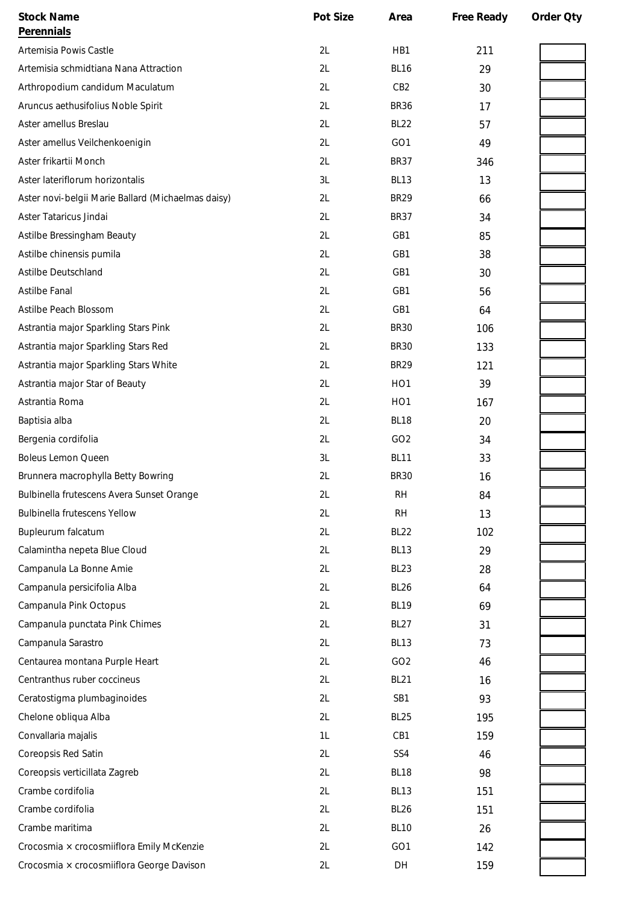| <b>Stock Name</b>                                  | Pot Size | Area             | Free Ready | Order Qty |
|----------------------------------------------------|----------|------------------|------------|-----------|
| <b>Perennials</b>                                  |          |                  |            |           |
| Artemisia Powis Castle                             | 2L       | HB1              | 211        |           |
| Artemisia schmidtiana Nana Attraction              | 2L       | <b>BL16</b>      | 29         |           |
| Arthropodium candidum Maculatum                    | 2L       | CB <sub>2</sub>  | 30         |           |
| Aruncus aethusifolius Noble Spirit                 | 2L       | <b>BR36</b>      | 17         |           |
| Aster amellus Breslau                              | 2L       | <b>BL22</b>      | 57         |           |
| Aster amellus Veilchenkoenigin                     | 2L       | GO <sub>1</sub>  | 49         |           |
| Aster frikartii Monch                              | 2L       | <b>BR37</b>      | 346        |           |
| Aster lateriflorum horizontalis                    | 3L       | <b>BL13</b>      | 13         |           |
| Aster novi-belgii Marie Ballard (Michaelmas daisy) | 2L       | <b>BR29</b>      | 66         |           |
| Aster Tataricus Jindai                             | 2L       | <b>BR37</b>      | 34         |           |
| Astilbe Bressingham Beauty                         | 2L       | GB1              | 85         |           |
| Astilbe chinensis pumila                           | 2L       | GB1              | 38         |           |
| <b>Astilbe Deutschland</b>                         | 2L       | GB1              | 30         |           |
| Astilbe Fanal                                      | 2L       | GB1              | 56         |           |
| Astilbe Peach Blossom                              | 2L       | GB1              | 64         |           |
| Astrantia major Sparkling Stars Pink               | 2L       | <b>BR30</b>      | 106        |           |
| Astrantia major Sparkling Stars Red                | 2L       | <b>BR30</b>      | 133        |           |
| Astrantia major Sparkling Stars White              | 2L       | <b>BR29</b>      | 121        |           |
| Astrantia major Star of Beauty                     | 2L       | HO <sub>1</sub>  | 39         |           |
| Astrantia Roma                                     | 2L       | HO <sub>1</sub>  | 167        |           |
| Baptisia alba                                      | 2L       | BL <sub>18</sub> | 20         |           |
| Bergenia cordifolia                                | 2L       | GO <sub>2</sub>  | 34         |           |
| <b>Boleus Lemon Queen</b>                          | 3L       | <b>BL11</b>      | 33         |           |
| Brunnera macrophylla Betty Bowring                 | 2L       | <b>BR30</b>      | 16         |           |
| Bulbinella frutescens Avera Sunset Orange          | 2L       | <b>RH</b>        | 84         |           |
| <b>Bulbinella frutescens Yellow</b>                | 2L       | <b>RH</b>        | 13         |           |
| Bupleurum falcatum                                 | 2L       | <b>BL22</b>      | 102        |           |
| Calamintha nepeta Blue Cloud                       | 2L       | <b>BL13</b>      | 29         |           |
| Campanula La Bonne Amie                            | 2L       | BL <sub>23</sub> | 28         |           |
| Campanula persicifolia Alba                        | 2L       | <b>BL26</b>      | 64         |           |
| Campanula Pink Octopus                             | 2L       | <b>BL19</b>      | 69         |           |
| Campanula punctata Pink Chimes                     | 2L       | <b>BL27</b>      | 31         |           |
| Campanula Sarastro                                 | 2L       | <b>BL13</b>      | 73         |           |
| Centaurea montana Purple Heart                     | 2L       | GO <sub>2</sub>  | 46         |           |
| Centranthus ruber coccineus                        | 2L       | <b>BL21</b>      | 16         |           |
| Ceratostigma plumbaginoides                        | 2L       | SB1              | 93         |           |
| Chelone obliqua Alba                               | 2L       | <b>BL25</b>      | 195        |           |
| Convallaria majalis                                | 1L       | CB1              | 159        |           |
| Coreopsis Red Satin                                | 2L       | SS4              | 46         |           |
| Coreopsis verticillata Zagreb                      | 2L       | <b>BL18</b>      | 98         |           |
| Crambe cordifolia                                  | 2L       | <b>BL13</b>      | 151        |           |
| Crambe cordifolia                                  | 2L       | <b>BL26</b>      | 151        |           |
| Crambe maritima                                    | 2L       | <b>BL10</b>      | 26         |           |
| Crocosmia × crocosmiiflora Emily McKenzie          | 2L       | GO <sub>1</sub>  | 142        |           |
| Crocosmia × crocosmiiflora George Davison          | 2L       | DH               | 159        |           |
|                                                    |          |                  |            |           |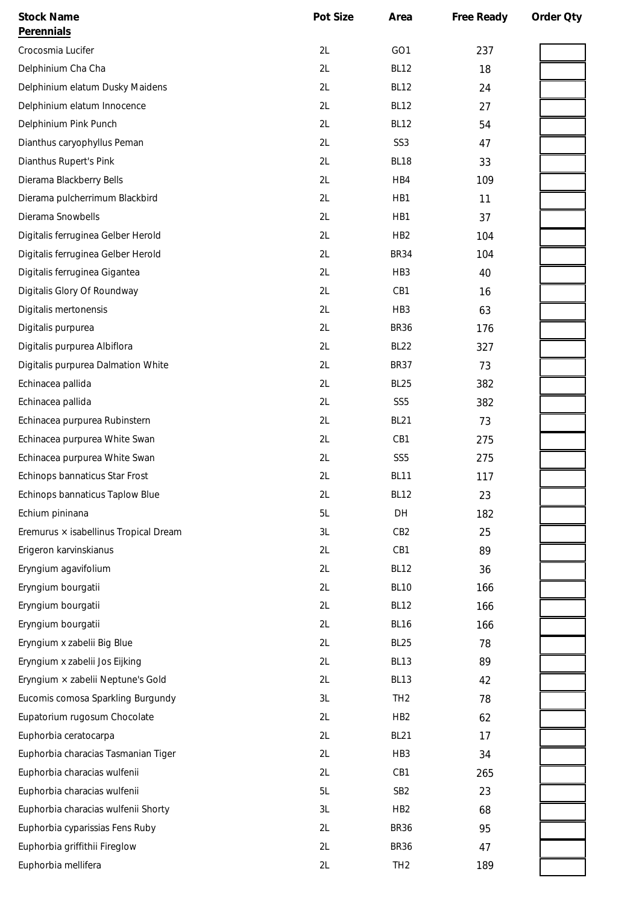| <b>Stock Name</b>                     | Pot Size | Area             | Free Ready | Order Qty |
|---------------------------------------|----------|------------------|------------|-----------|
| Perennials                            |          |                  |            |           |
| Crocosmia Lucifer                     | 2L       | GO1              | 237        |           |
| Delphinium Cha Cha                    | 2L       | <b>BL12</b>      | 18         |           |
| Delphinium elatum Dusky Maidens       | 2L       | <b>BL12</b>      | 24         |           |
| Delphinium elatum Innocence           | 2L       | <b>BL12</b>      | 27         |           |
| Delphinium Pink Punch                 | 2L       | <b>BL12</b>      | 54         |           |
| Dianthus caryophyllus Peman           | 2L       | SS <sub>3</sub>  | 47         |           |
| Dianthus Rupert's Pink                | 2L       | <b>BL18</b>      | 33         |           |
| Dierama Blackberry Bells              | 2L       | HB4              | 109        |           |
| Dierama pulcherrimum Blackbird        | 2L       | HB1              | 11         |           |
| Dierama Snowbells                     | 2L       | HB1              | 37         |           |
| Digitalis ferruginea Gelber Herold    | 2L       | HB <sub>2</sub>  | 104        |           |
| Digitalis ferruginea Gelber Herold    | 2L       | <b>BR34</b>      | 104        |           |
| Digitalis ferruginea Gigantea         | 2L       | HB <sub>3</sub>  | 40         |           |
| Digitalis Glory Of Roundway           | 2L       | CB1              | 16         |           |
| Digitalis mertonensis                 | 2L       | HB <sub>3</sub>  | 63         |           |
| Digitalis purpurea                    | 2L       | <b>BR36</b>      | 176        |           |
| Digitalis purpurea Albiflora          | 2L       | <b>BL22</b>      | 327        |           |
| Digitalis purpurea Dalmation White    | 2L       | <b>BR37</b>      | 73         |           |
| Echinacea pallida                     | 2L       | <b>BL25</b>      | 382        |           |
| Echinacea pallida                     | 2L       | SS <sub>5</sub>  | 382        |           |
| Echinacea purpurea Rubinstern         | 2L       | <b>BL21</b>      | 73         |           |
| Echinacea purpurea White Swan         | 2L       | CB1              | 275        |           |
| Echinacea purpurea White Swan         | 2L       | SS <sub>5</sub>  | 275        |           |
| Echinops bannaticus Star Frost        | 2L       | <b>BL11</b>      | 117        |           |
| Echinops bannaticus Taplow Blue       | 2L       | <b>BL12</b>      | 23         |           |
| Echium pininana                       | 5L       | DH               | 182        |           |
| Eremurus × isabellinus Tropical Dream | 3L       | CB <sub>2</sub>  | 25         |           |
| Erigeron karvinskianus                | 2L       | CB1              | 89         |           |
| Eryngium agavifolium                  | 2L       | <b>BL12</b>      | 36         |           |
| Eryngium bourgatii                    | 2L       | <b>BL10</b>      | 166        |           |
| Eryngium bourgatii                    | 2L       | <b>BL12</b>      | 166        |           |
| Eryngium bourgatii                    | 2L       | <b>BL16</b>      | 166        |           |
| Eryngium x zabelii Big Blue           | 2L       | BL <sub>25</sub> | 78         |           |
| Eryngium x zabelii Jos Eijking        | 2L       | <b>BL13</b>      | 89         |           |
| Eryngium × zabelii Neptune's Gold     | 2L       | <b>BL13</b>      | 42         |           |
| Eucomis comosa Sparkling Burgundy     | 3L       | TH <sub>2</sub>  | 78         |           |
| Eupatorium rugosum Chocolate          | 2L       | HB <sub>2</sub>  | 62         |           |
| Euphorbia ceratocarpa                 | 2L       | <b>BL21</b>      | 17         |           |
| Euphorbia characias Tasmanian Tiger   | 2L       | HB3              | 34         |           |
| Euphorbia characias wulfenii          | 2L       | CB1              | 265        |           |
| Euphorbia characias wulfenii          | 5L       | SB <sub>2</sub>  | 23         |           |
| Euphorbia characias wulfenii Shorty   | 3L       | HB <sub>2</sub>  | 68         |           |
| Euphorbia cyparissias Fens Ruby       | 2L       | <b>BR36</b>      | 95         |           |
| Euphorbia griffithii Fireglow         | 2L       | <b>BR36</b>      | 47         |           |
| Euphorbia mellifera                   | 2L       | TH <sub>2</sub>  | 189        |           |
|                                       |          |                  |            |           |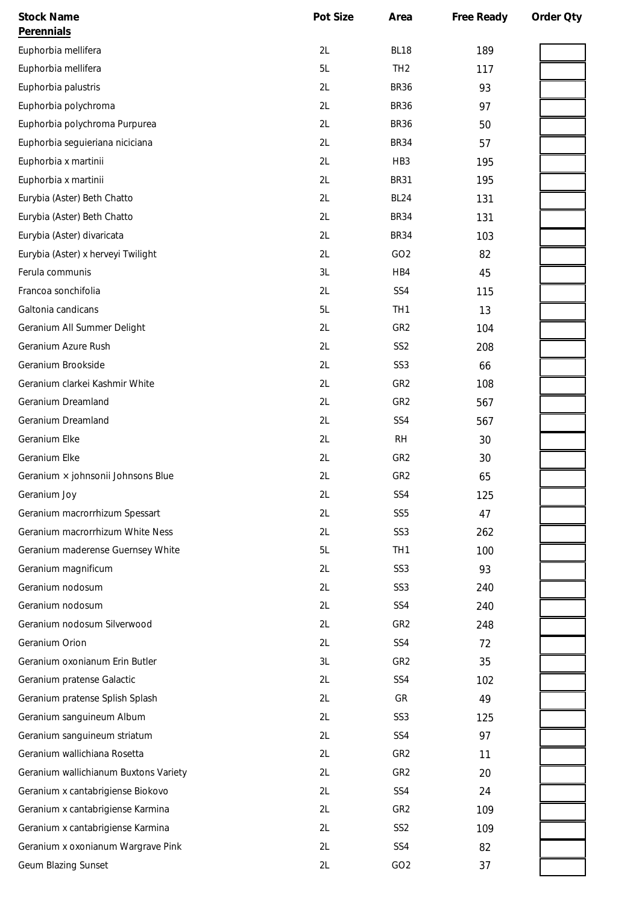| <b>Stock Name</b>                     | Pot Size | Area             | Free Ready | Order Oty |
|---------------------------------------|----------|------------------|------------|-----------|
| Perennials                            |          |                  |            |           |
| Euphorbia mellifera                   | 2L       | BL <sub>18</sub> | 189        |           |
| Euphorbia mellifera                   | 5L       | TH <sub>2</sub>  | 117        |           |
| Euphorbia palustris                   | 2L       | <b>BR36</b>      | 93         |           |
| Euphorbia polychroma                  | 2L       | <b>BR36</b>      | 97         |           |
| Euphorbia polychroma Purpurea         | 2L       | <b>BR36</b>      | 50         |           |
| Euphorbia seguieriana niciciana       | 2L       | <b>BR34</b>      | 57         |           |
| Euphorbia x martinii                  | 2L       | HB <sub>3</sub>  | 195        |           |
| Euphorbia x martinii                  | 2L       | <b>BR31</b>      | 195        |           |
| Eurybia (Aster) Beth Chatto           | 2L       | <b>BL24</b>      | 131        |           |
| Eurybia (Aster) Beth Chatto           | 2L       | <b>BR34</b>      | 131        |           |
| Eurybia (Aster) divaricata            | 2L       | <b>BR34</b>      | 103        |           |
| Eurybia (Aster) x herveyi Twilight    | 2L       | GO <sub>2</sub>  | 82         |           |
| Ferula communis                       | 3L       | HB4              | 45         |           |
| Francoa sonchifolia                   | 2L       | SS4              | 115        |           |
| Galtonia candicans                    | 5L       | TH <sub>1</sub>  | 13         |           |
| Geranium All Summer Delight           | 2L       | GR <sub>2</sub>  | 104        |           |
| Geranium Azure Rush                   | 2L       | SS <sub>2</sub>  | 208        |           |
| Geranium Brookside                    | 2L       | SS <sub>3</sub>  | 66         |           |
| Geranium clarkei Kashmir White        | 2L       | GR <sub>2</sub>  | 108        |           |
| Geranium Dreamland                    | 2L       | GR <sub>2</sub>  | 567        |           |
| Geranium Dreamland                    | 2L       | SS4              | 567        |           |
| Geranium Elke                         | 2L       | <b>RH</b>        | 30         |           |
| Geranium Elke                         | 2L       | GR <sub>2</sub>  | 30         |           |
| Geranium × johnsonii Johnsons Blue    | 2L       | GR <sub>2</sub>  | 65         |           |
| Geranium Joy                          | 2L       | SS4              | 125        |           |
| Geranium macrorrhizum Spessart        | 2L       | SS <sub>5</sub>  | 47         |           |
| Geranium macrorrhizum White Ness      | 2L       | SS <sub>3</sub>  | 262        |           |
| Geranium maderense Guernsey White     | 5L       | TH <sub>1</sub>  | 100        |           |
| Geranium magnificum                   | 2L       | SS <sub>3</sub>  | 93         |           |
| Geranium nodosum                      | 2L       | SS <sub>3</sub>  | 240        |           |
| Geranium nodosum                      | 2L       | SS4              | 240        |           |
| Geranium nodosum Silverwood           | 2L       | GR <sub>2</sub>  | 248        |           |
| Geranium Orion                        | 2L       | SS4              | 72         |           |
| Geranium oxonianum Erin Butler        | 3L       | GR <sub>2</sub>  | 35         |           |
| Geranium pratense Galactic            | 2L       | SS4              | 102        |           |
| Geranium pratense Splish Splash       | 2L       | GR               | 49         |           |
| Geranium sanguineum Album             | 2L       | SS <sub>3</sub>  | 125        |           |
| Geranium sanguineum striatum          | 2L       | SS4              | 97         |           |
| Geranium wallichiana Rosetta          | 2L       | GR <sub>2</sub>  | 11         |           |
| Geranium wallichianum Buxtons Variety | 2L       | GR <sub>2</sub>  | 20         |           |
| Geranium x cantabrigiense Biokovo     | 2L       | SS4              | 24         |           |
| Geranium x cantabrigiense Karmina     | 2L       | GR <sub>2</sub>  | 109        |           |
| Geranium x cantabrigiense Karmina     | 2L       | SS <sub>2</sub>  | 109        |           |
| Geranium x oxonianum Wargrave Pink    | 2L       | SS4              | 82         |           |
| Geum Blazing Sunset                   | 2L       | GO <sub>2</sub>  | 37         |           |
|                                       |          |                  |            |           |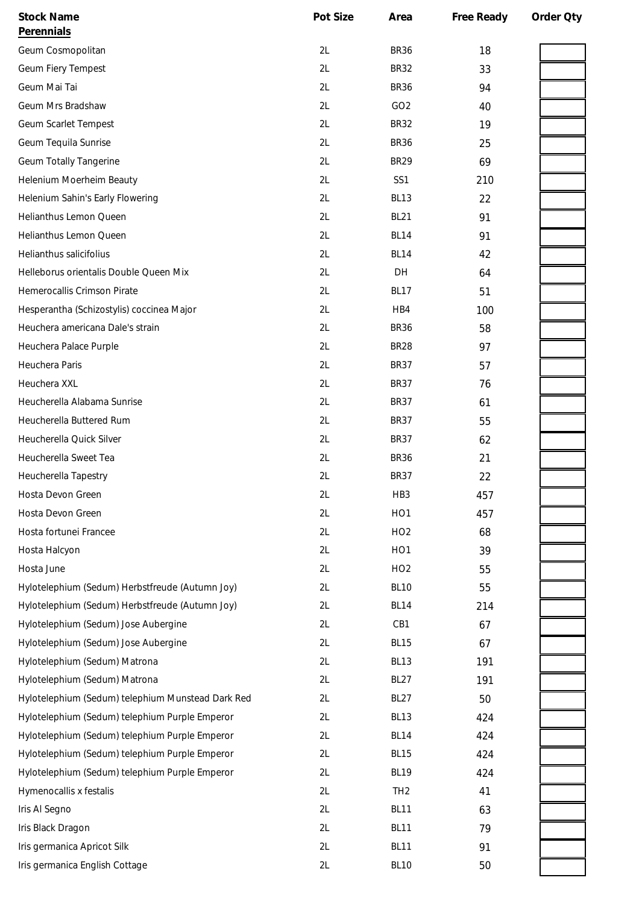| <b>Stock Name</b>                                 | Pot Size | Area             | Free Ready | Order Qty |
|---------------------------------------------------|----------|------------------|------------|-----------|
| Perennials                                        |          |                  |            |           |
| Geum Cosmopolitan                                 | 2L       | <b>BR36</b>      | 18         |           |
| Geum Fiery Tempest                                | 2L       | <b>BR32</b>      | 33         |           |
| Geum Mai Tai                                      | 2L       | <b>BR36</b>      | 94         |           |
| Geum Mrs Bradshaw                                 | 2L       | GO <sub>2</sub>  | 40         |           |
| Geum Scarlet Tempest                              | 2L       | <b>BR32</b>      | 19         |           |
| Geum Tequila Sunrise                              | 2L       | <b>BR36</b>      | 25         |           |
| <b>Geum Totally Tangerine</b>                     | 2L       | <b>BR29</b>      | 69         |           |
| Helenium Moerheim Beauty                          | 2L       | SS1              | 210        |           |
| Helenium Sahin's Early Flowering                  | 2L       | <b>BL13</b>      | 22         |           |
| Helianthus Lemon Queen                            | 2L       | <b>BL21</b>      | 91         |           |
| Helianthus Lemon Queen                            | 2L       | <b>BL14</b>      | 91         |           |
| Helianthus salicifolius                           | 2L       | <b>BL14</b>      | 42         |           |
| Helleborus orientalis Double Queen Mix            | 2L       | DH               | 64         |           |
| Hemerocallis Crimson Pirate                       | 2L       | <b>BL17</b>      | 51         |           |
| Hesperantha (Schizostylis) coccinea Major         | 2L       | HB4              | 100        |           |
| Heuchera americana Dale's strain                  | 2L       | <b>BR36</b>      | 58         |           |
| Heuchera Palace Purple                            | 2L       | <b>BR28</b>      | 97         |           |
| Heuchera Paris                                    | 2L       | <b>BR37</b>      | 57         |           |
| Heuchera XXL                                      | 2L       | <b>BR37</b>      | 76         |           |
| Heucherella Alabama Sunrise                       | 2L       | <b>BR37</b>      | 61         |           |
| Heucherella Buttered Rum                          | 2L       | <b>BR37</b>      | 55         |           |
| Heucherella Quick Silver                          | 2L       | <b>BR37</b>      | 62         |           |
| Heucherella Sweet Tea                             | 2L       | <b>BR36</b>      | 21         |           |
| Heucherella Tapestry                              | 2L       | <b>BR37</b>      | 22         |           |
| Hosta Devon Green                                 | 2L       | HB <sub>3</sub>  | 457        |           |
| Hosta Devon Green                                 | 2L       | HO <sub>1</sub>  | 457        |           |
| Hosta fortunei Francee                            | 2L       | HO <sub>2</sub>  | 68         |           |
| Hosta Halcyon                                     | 2L       | HO <sub>1</sub>  | 39         |           |
| Hosta June                                        | 2L       | HO <sub>2</sub>  | 55         |           |
| Hylotelephium (Sedum) Herbstfreude (Autumn Joy)   | 2L       | <b>BL10</b>      | 55         |           |
| Hylotelephium (Sedum) Herbstfreude (Autumn Joy)   | 2L       | BL14             | 214        |           |
| Hylotelephium (Sedum) Jose Aubergine              | 2L       | CB1              | 67         |           |
| Hylotelephium (Sedum) Jose Aubergine              | 2L       | <b>BL15</b>      | 67         |           |
| Hylotelephium (Sedum) Matrona                     | 2L       | BL <sub>13</sub> | 191        |           |
| Hylotelephium (Sedum) Matrona                     | 2L       | <b>BL27</b>      | 191        |           |
| Hylotelephium (Sedum) telephium Munstead Dark Red | 2L       | <b>BL27</b>      | 50         |           |
| Hylotelephium (Sedum) telephium Purple Emperor    | 2L       | <b>BL13</b>      | 424        |           |
| Hylotelephium (Sedum) telephium Purple Emperor    | 2L       | BL14             | 424        |           |
| Hylotelephium (Sedum) telephium Purple Emperor    | 2L       | <b>BL15</b>      | 424        |           |
| Hylotelephium (Sedum) telephium Purple Emperor    | 2L       | <b>BL19</b>      | 424        |           |
| Hymenocallis x festalis                           | 2L       | TH <sub>2</sub>  | 41         |           |
| Iris Al Segno                                     | 2L       | <b>BL11</b>      | 63         |           |
| Iris Black Dragon                                 | 2L       | <b>BL11</b>      | 79         |           |
| Iris germanica Apricot Silk                       | 2L       | <b>BL11</b>      | 91         |           |
| Iris germanica English Cottage                    | 2L       | <b>BL10</b>      | 50         |           |
|                                                   |          |                  |            |           |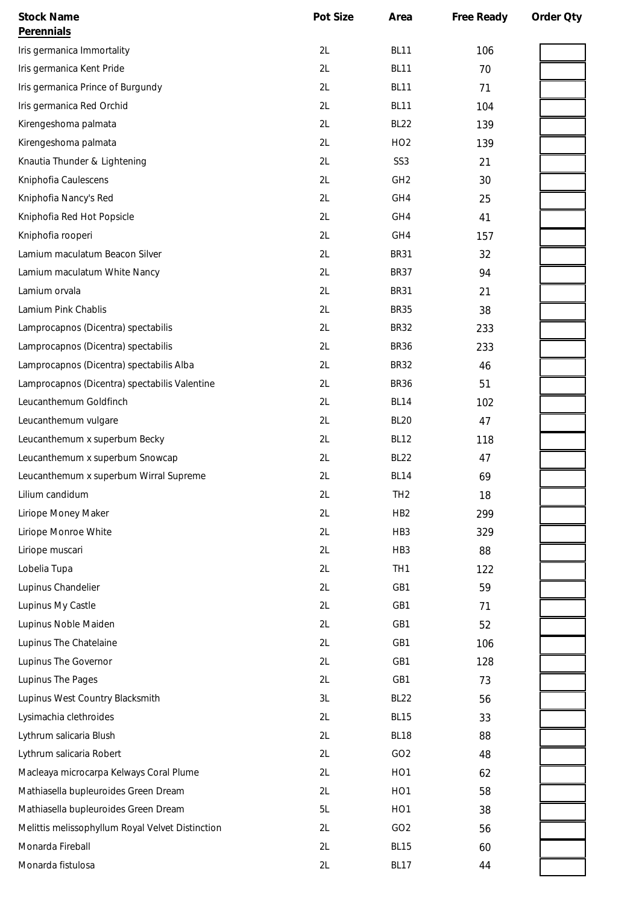| <b>Stock Name</b>                                | Pot Size | Area            | Free Ready | Order Qty |
|--------------------------------------------------|----------|-----------------|------------|-----------|
| Perennials                                       |          |                 |            |           |
| Iris germanica Immortality                       | 2L       | <b>BL11</b>     | 106        |           |
| Iris germanica Kent Pride                        | 2L       | <b>BL11</b>     | 70         |           |
| Iris germanica Prince of Burgundy                | 2L       | <b>BL11</b>     | 71         |           |
| Iris germanica Red Orchid                        | 2L       | <b>BL11</b>     | 104        |           |
| Kirengeshoma palmata                             | 2L       | <b>BL22</b>     | 139        |           |
| Kirengeshoma palmata                             | 2L       | HO <sub>2</sub> | 139        |           |
| Knautia Thunder & Lightening                     | 2L       | SS <sub>3</sub> | 21         |           |
| Kniphofia Caulescens                             | 2L       | GH <sub>2</sub> | 30         |           |
| Kniphofia Nancy's Red                            | 2L       | GH4             | 25         |           |
| Kniphofia Red Hot Popsicle                       | 2L       | GH4             | 41         |           |
| Kniphofia rooperi                                | 2L       | GH4             | 157        |           |
| Lamium maculatum Beacon Silver                   | 2L       | <b>BR31</b>     | 32         |           |
| Lamium maculatum White Nancy                     | 2L       | <b>BR37</b>     | 94         |           |
| Lamium orvala                                    | 2L       | <b>BR31</b>     | 21         |           |
| Lamium Pink Chablis                              | 2L       | <b>BR35</b>     | 38         |           |
| Lamprocapnos (Dicentra) spectabilis              | 2L       | <b>BR32</b>     | 233        |           |
| Lamprocapnos (Dicentra) spectabilis              | 2L       | <b>BR36</b>     | 233        |           |
| Lamprocapnos (Dicentra) spectabilis Alba         | 2L       | <b>BR32</b>     | 46         |           |
| Lamprocapnos (Dicentra) spectabilis Valentine    | 2L       | <b>BR36</b>     | 51         |           |
| Leucanthemum Goldfinch                           | 2L       | <b>BL14</b>     | 102        |           |
| Leucanthemum vulgare                             | 2L       | <b>BL20</b>     | 47         |           |
| Leucanthemum x superbum Becky                    | 2L       | <b>BL12</b>     | 118        |           |
| Leucanthemum x superbum Snowcap                  | 2L       | <b>BL22</b>     | 47         |           |
| Leucanthemum x superbum Wirral Supreme           | 2L       | <b>BL14</b>     | 69         |           |
| Lilium candidum                                  | 2L       | TH <sub>2</sub> | 18         |           |
| Liriope Money Maker                              | 2L       | HB <sub>2</sub> | 299        |           |
| Liriope Monroe White                             | 2L       | HB <sub>3</sub> | 329        |           |
| Liriope muscari                                  | 2L       | HB <sub>3</sub> | 88         |           |
| Lobelia Tupa                                     | 2L       | TH <sub>1</sub> | 122        |           |
| Lupinus Chandelier                               | 2L       | GB1             | 59         |           |
| Lupinus My Castle                                | 2L       | GB1             | 71         |           |
| Lupinus Noble Maiden                             | 2L       | GB1             | 52         |           |
| Lupinus The Chatelaine                           | 2L       | GB1             | 106        |           |
| Lupinus The Governor                             | 2L       | GB1             | 128        |           |
| Lupinus The Pages                                | 2L       | GB1             | 73         |           |
| Lupinus West Country Blacksmith                  | 3L       | <b>BL22</b>     | 56         |           |
| Lysimachia clethroides                           | 2L       | <b>BL15</b>     | 33         |           |
| Lythrum salicaria Blush                          | 2L       | <b>BL18</b>     | 88         |           |
| Lythrum salicaria Robert                         | 2L       | GO <sub>2</sub> | 48         |           |
| Macleaya microcarpa Kelways Coral Plume          | 2L       | HO <sub>1</sub> | 62         |           |
| Mathiasella bupleuroides Green Dream             | 2L       | HO <sub>1</sub> | 58         |           |
| Mathiasella bupleuroides Green Dream             | 5L       | HO <sub>1</sub> | 38         |           |
| Melittis melissophyllum Royal Velvet Distinction | 2L       | GO <sub>2</sub> | 56         |           |
| Monarda Fireball                                 | 2L       | <b>BL15</b>     | 60         |           |
| Monarda fistulosa                                | 2L       | <b>BL17</b>     | 44         |           |
|                                                  |          |                 |            |           |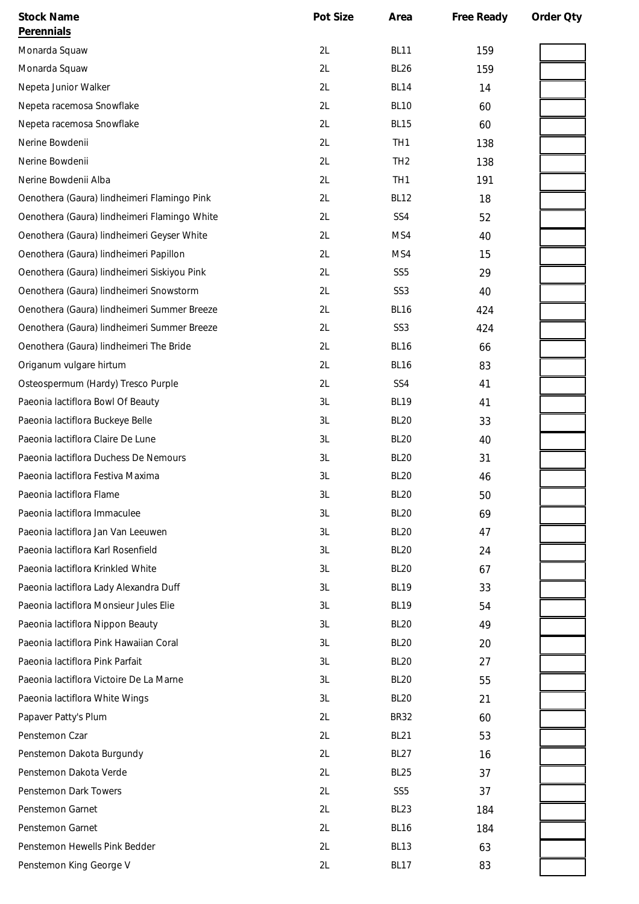| <b>Stock Name</b>                            | Pot Size | Area            | Free Ready | Order Oty |
|----------------------------------------------|----------|-----------------|------------|-----------|
| <b>Perennials</b>                            |          |                 |            |           |
| Monarda Squaw                                | 2L       | <b>BL11</b>     | 159        |           |
| Monarda Squaw                                | 2L       | <b>BL26</b>     | 159        |           |
| Nepeta Junior Walker                         | 2L       | <b>BL14</b>     | 14         |           |
| Nepeta racemosa Snowflake                    | 2L       | <b>BL10</b>     | 60         |           |
| Nepeta racemosa Snowflake                    | 2L       | <b>BL15</b>     | 60         |           |
| Nerine Bowdenii                              | 2L       | TH <sub>1</sub> | 138        |           |
| Nerine Bowdenii                              | 2L       | TH <sub>2</sub> | 138        |           |
| Nerine Bowdenii Alba                         | 2L       | TH <sub>1</sub> | 191        |           |
| Oenothera (Gaura) lindheimeri Flamingo Pink  | 2L       | <b>BL12</b>     | 18         |           |
| Oenothera (Gaura) lindheimeri Flamingo White | 2L       | SS4             | 52         |           |
| Oenothera (Gaura) lindheimeri Geyser White   | 2L       | MS4             | 40         |           |
| Oenothera (Gaura) lindheimeri Papillon       | 2L       | MS4             | 15         |           |
| Oenothera (Gaura) lindheimeri Siskiyou Pink  | 2L       | SS <sub>5</sub> | 29         |           |
| Oenothera (Gaura) lindheimeri Snowstorm      | 2L       | SS <sub>3</sub> | 40         |           |
| Oenothera (Gaura) lindheimeri Summer Breeze  | 2L       | <b>BL16</b>     | 424        |           |
| Oenothera (Gaura) lindheimeri Summer Breeze  | 2L       | SS <sub>3</sub> | 424        |           |
| Oenothera (Gaura) lindheimeri The Bride      | 2L       | <b>BL16</b>     | 66         |           |
| Origanum vulgare hirtum                      | 2L       | <b>BL16</b>     | 83         |           |
| Osteospermum (Hardy) Tresco Purple           | 2L       | SS4             | 41         |           |
| Paeonia lactiflora Bowl Of Beauty            | 3L       | <b>BL19</b>     | 41         |           |
| Paeonia lactiflora Buckeye Belle             | 3L       | <b>BL20</b>     | 33         |           |
| Paeonia lactiflora Claire De Lune            | 3L       | <b>BL20</b>     | 40         |           |
| Paeonia lactiflora Duchess De Nemours        | 3L       | <b>BL20</b>     | 31         |           |
| Paeonia lactiflora Festiva Maxima            | 3L       | <b>BL20</b>     | 46         |           |
| Paeonia lactiflora Flame                     | 3L       | <b>BL20</b>     | 50         |           |
| Paeonia lactiflora Immaculee                 | 3L       | <b>BL20</b>     | 69         |           |
| Paeonia lactiflora Jan Van Leeuwen           | 3L       | <b>BL20</b>     | 47         |           |
| Paeonia lactiflora Karl Rosenfield           | 3L       | <b>BL20</b>     | 24         |           |
| Paeonia lactiflora Krinkled White            | 3L       | <b>BL20</b>     | 67         |           |
| Paeonia lactiflora Lady Alexandra Duff       | 3L       | <b>BL19</b>     | 33         |           |
| Paeonia lactiflora Monsieur Jules Elie       | 3L       | <b>BL19</b>     | 54         |           |
| Paeonia lactiflora Nippon Beauty             | 3L       | <b>BL20</b>     | 49         |           |
| Paeonia lactiflora Pink Hawaiian Coral       | 3L       | <b>BL20</b>     | 20         |           |
| Paeonia lactiflora Pink Parfait              | 3L       | <b>BL20</b>     | 27         |           |
| Paeonia lactiflora Victoire De La Marne      | 3L       | <b>BL20</b>     | 55         |           |
| Paeonia lactiflora White Wings               | 3L       | <b>BL20</b>     | 21         |           |
| Papaver Patty's Plum                         | 2L       | <b>BR32</b>     | 60         |           |
| Penstemon Czar                               | 2L       | <b>BL21</b>     | 53         |           |
| Penstemon Dakota Burgundy                    | 2L       | <b>BL27</b>     | 16         |           |
| Penstemon Dakota Verde                       | 2L       | <b>BL25</b>     | 37         |           |
| Penstemon Dark Towers                        | 2L       | SS <sub>5</sub> | 37         |           |
| Penstemon Garnet                             | 2L       | <b>BL23</b>     | 184        |           |
| Penstemon Garnet                             | 2L       | <b>BL16</b>     | 184        |           |
| Penstemon Hewells Pink Bedder                | 2L       | <b>BL13</b>     | 63         |           |
| Penstemon King George V                      | 2L       | <b>BL17</b>     | 83         |           |
|                                              |          |                 |            |           |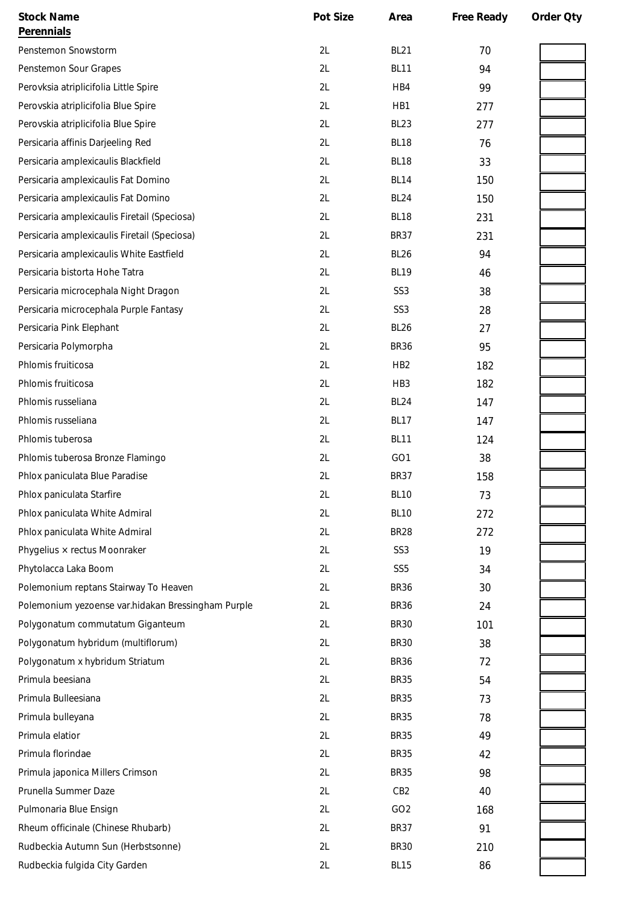| <b>Stock Name</b>                                  | Pot Size | Area             | Free Ready | Order Qty |
|----------------------------------------------------|----------|------------------|------------|-----------|
| Perennials                                         |          |                  |            |           |
| Penstemon Snowstorm                                | 2L       | BL <sub>21</sub> | 70         |           |
| Penstemon Sour Grapes                              | 2L       | <b>BL11</b>      | 94         |           |
| Perovksia atriplicifolia Little Spire              | 2L       | HB4              | 99         |           |
| Perovskia atriplicifolia Blue Spire                | 2L       | HB1              | 277        |           |
| Perovskia atriplicifolia Blue Spire                | 2L       | <b>BL23</b>      | 277        |           |
| Persicaria affinis Darjeeling Red                  | 2L       | BL <sub>18</sub> | 76         |           |
| Persicaria amplexicaulis Blackfield                | 2L       | BL <sub>18</sub> | 33         |           |
| Persicaria amplexicaulis Fat Domino                | 2L       | <b>BL14</b>      | 150        |           |
| Persicaria amplexicaulis Fat Domino                | 2L       | <b>BL24</b>      | 150        |           |
| Persicaria amplexicaulis Firetail (Speciosa)       | 2L       | BL <sub>18</sub> | 231        |           |
| Persicaria amplexicaulis Firetail (Speciosa)       | 2L       | <b>BR37</b>      | 231        |           |
| Persicaria amplexicaulis White Eastfield           | 2L       | <b>BL26</b>      | 94         |           |
| Persicaria bistorta Hohe Tatra                     | 2L       | <b>BL19</b>      | 46         |           |
| Persicaria microcephala Night Dragon               | 2L       | SS <sub>3</sub>  | 38         |           |
| Persicaria microcephala Purple Fantasy             | 2L       | SS <sub>3</sub>  | 28         |           |
| Persicaria Pink Elephant                           | 2L       | <b>BL26</b>      | 27         |           |
| Persicaria Polymorpha                              | 2L       | <b>BR36</b>      | 95         |           |
| Phlomis fruiticosa                                 | 2L       | HB <sub>2</sub>  | 182        |           |
| Phlomis fruiticosa                                 | 2L       | HB <sub>3</sub>  | 182        |           |
| Phlomis russeliana                                 | 2L       | <b>BL24</b>      | 147        |           |
| Phlomis russeliana                                 | 2L       | <b>BL17</b>      | 147        |           |
| Phlomis tuberosa                                   | 2L       | <b>BL11</b>      | 124        |           |
| Phlomis tuberosa Bronze Flamingo                   | 2L       | GO1              | 38         |           |
| Phlox paniculata Blue Paradise                     | 2L       | <b>BR37</b>      | 158        |           |
| Phlox paniculata Starfire                          | 2L       | <b>BL10</b>      | 73         |           |
| Phlox paniculata White Admiral                     | 2L       | <b>BL10</b>      | 272        |           |
| Phlox paniculata White Admiral                     | 2L       | <b>BR28</b>      | 272        |           |
| Phygelius × rectus Moonraker                       | 2L       | SS <sub>3</sub>  | 19         |           |
| Phytolacca Laka Boom                               | 2L       | SS <sub>5</sub>  | 34         |           |
| Polemonium reptans Stairway To Heaven              | 2L       | <b>BR36</b>      | 30         |           |
| Polemonium yezoense var.hidakan Bressingham Purple | 2L       | <b>BR36</b>      | 24         |           |
| Polygonatum commutatum Giganteum                   | 2L       | <b>BR30</b>      | 101        |           |
| Polygonatum hybridum (multiflorum)                 | 2L       | <b>BR30</b>      | 38         |           |
| Polygonatum x hybridum Striatum                    | 2L       | <b>BR36</b>      | 72         |           |
| Primula beesiana                                   | 2L       | <b>BR35</b>      | 54         |           |
| Primula Bulleesiana                                | 2L       | <b>BR35</b>      | 73         |           |
| Primula bulleyana                                  | 2L       | <b>BR35</b>      | 78         |           |
| Primula elatior                                    | 2L       | <b>BR35</b>      | 49         |           |
| Primula florindae                                  | 2L       | <b>BR35</b>      | 42         |           |
| Primula japonica Millers Crimson                   | 2L       | <b>BR35</b>      | 98         |           |
| Prunella Summer Daze                               | 2L       | CB <sub>2</sub>  | 40         |           |
| Pulmonaria Blue Ensign                             | 2L       | GO <sub>2</sub>  | 168        |           |
| Rheum officinale (Chinese Rhubarb)                 | 2L       | <b>BR37</b>      | 91         |           |
| Rudbeckia Autumn Sun (Herbstsonne)                 | 2L       | <b>BR30</b>      | 210        |           |
| Rudbeckia fulgida City Garden                      | 2L       | <b>BL15</b>      | 86         |           |
|                                                    |          |                  |            |           |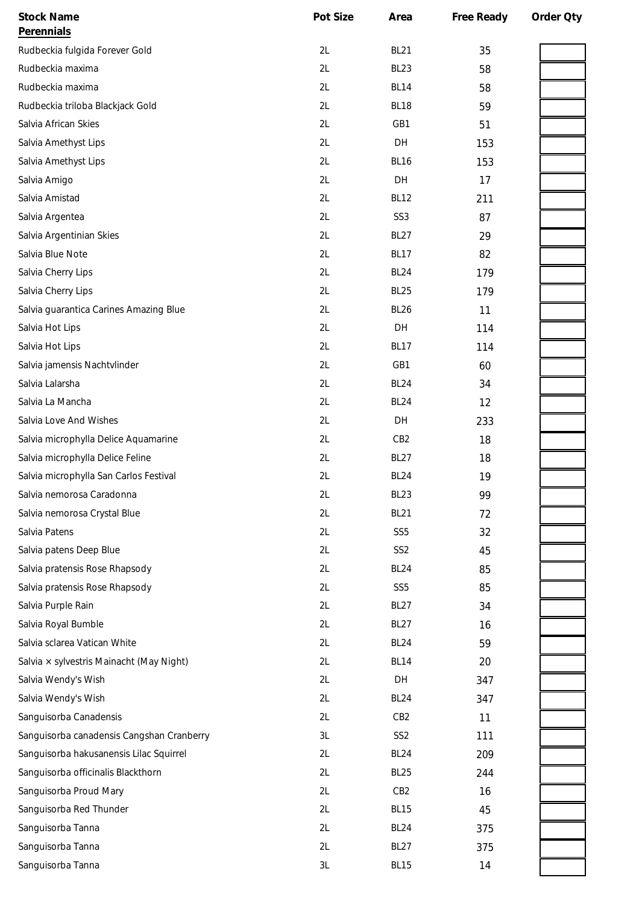| <b>Stock Name</b>                         | Pot Size      | Area             | Free Ready | Order Qty |
|-------------------------------------------|---------------|------------------|------------|-----------|
| Perennials                                |               |                  |            |           |
| Rudbeckia fulgida Forever Gold            | 2L            | <b>BL21</b>      | 35         |           |
| Rudbeckia maxima                          | 2L            | <b>BL23</b>      | 58         |           |
| Rudbeckia maxima                          | 2L            | <b>BL14</b>      | 58         |           |
| Rudbeckia triloba Blackjack Gold          | 2L            | <b>BL18</b>      | 59         |           |
| Salvia African Skies                      | 2L            | GB1              | 51         |           |
| Salvia Amethyst Lips                      | 2L            | DH               | 153        |           |
| Salvia Amethyst Lips                      | 2L            | <b>BL16</b>      | 153        |           |
| Salvia Amigo                              | 2L            | DH               | 17         |           |
| Salvia Amistad                            | 2L            | <b>BL12</b>      | 211        |           |
| Salvia Argentea                           | 2L            | SS <sub>3</sub>  | 87         |           |
| Salvia Argentinian Skies                  | 2L            | <b>BL27</b>      | 29         |           |
| Salvia Blue Note                          | 2L            | <b>BL17</b>      | 82         |           |
| Salvia Cherry Lips                        | 2L            | <b>BL24</b>      | 179        |           |
| Salvia Cherry Lips                        | 2L            | <b>BL25</b>      | 179        |           |
| Salvia guarantica Carines Amazing Blue    | 2L            | <b>BL26</b>      | 11         |           |
| Salvia Hot Lips                           | 2L            | DH               | 114        |           |
| Salvia Hot Lips                           | 2L            | <b>BL17</b>      | 114        |           |
| Salvia jamensis Nachtvlinder              | 2L            | GB1              | 60         |           |
| Salvia Lalarsha                           | 2L            | <b>BL24</b>      | 34         |           |
| Salvia La Mancha                          | 2L            | <b>BL24</b>      | 12         |           |
| Salvia Love And Wishes                    | 2L            | DH               | 233        |           |
| Salvia microphylla Delice Aquamarine      | 2L            | CB <sub>2</sub>  | 18         |           |
| Salvia microphylla Delice Feline          | 2L            | <b>BL27</b>      | 18         |           |
| Salvia microphylla San Carlos Festival    | 2L            | <b>BL24</b>      | 19         |           |
| Salvia nemorosa Caradonna                 | 2L            | BL <sub>23</sub> | 99         |           |
| Salvia nemorosa Crystal Blue              | 2L            | <b>BL21</b>      | 72         |           |
| Salvia Patens                             | 2L            | SS <sub>5</sub>  | 32         |           |
| Salvia patens Deep Blue                   | 2L            | SS <sub>2</sub>  | 45         |           |
| Salvia pratensis Rose Rhapsody            | 2L            | <b>BL24</b>      | 85         |           |
| Salvia pratensis Rose Rhapsody            | 2L            | SS <sub>5</sub>  | 85         |           |
| Salvia Purple Rain                        | 2L            | <b>BL27</b>      | 34         |           |
| Salvia Royal Bumble                       | 2L            | <b>BL27</b>      | 16         |           |
| Salvia sclarea Vatican White              | 2L            | <b>BL24</b>      | 59         |           |
| Salvia x sylvestris Mainacht (May Night)  | 2L            | <b>BL14</b>      | 20         |           |
| Salvia Wendy's Wish                       | 2L            | DH               | 347        |           |
| Salvia Wendy's Wish                       | 2L            | <b>BL24</b>      | 347        |           |
| Sanguisorba Canadensis                    | 2L            | CB <sub>2</sub>  | 11         |           |
| Sanguisorba canadensis Cangshan Cranberry | 3L            | SS <sub>2</sub>  | 111        |           |
| Sanguisorba hakusanensis Lilac Squirrel   | 2L            | <b>BL24</b>      | 209        |           |
| Sanguisorba officinalis Blackthorn        | 2L            | <b>BL25</b>      | 244        |           |
| Sanguisorba Proud Mary                    | 2L            | CB <sub>2</sub>  | 16         |           |
| Sanguisorba Red Thunder                   | 2L            | <b>BL15</b>      | 45         |           |
| Sanguisorba Tanna                         | 2L            | <b>BL24</b>      | 375        |           |
| Sanguisorba Tanna                         | 2L            | <b>BL27</b>      | 375        |           |
| Sanguisorba Tanna                         | $3\mathsf{L}$ | <b>BL15</b>      | 14         |           |
|                                           |               |                  |            |           |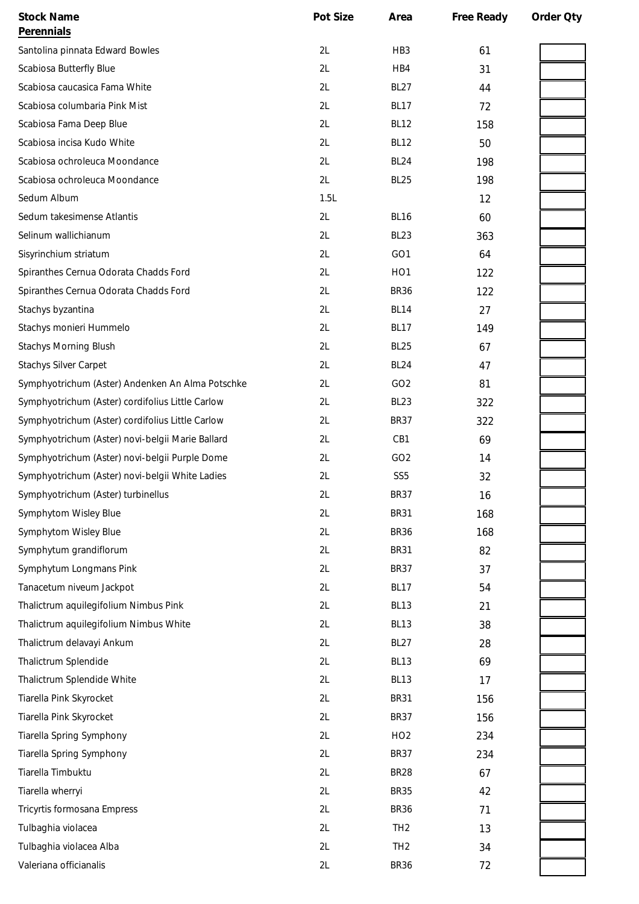| <b>Stock Name</b>                                | Pot Size | Area             | Free Ready | Order Qty |
|--------------------------------------------------|----------|------------------|------------|-----------|
| Perennials                                       |          |                  |            |           |
| Santolina pinnata Edward Bowles                  | 2L       | HB <sub>3</sub>  | 61         |           |
| Scabiosa Butterfly Blue                          | 2L       | HB4              | 31         |           |
| Scabiosa caucasica Fama White                    | 2L       | <b>BL27</b>      | 44         |           |
| Scabiosa columbaria Pink Mist                    | 2L       | <b>BL17</b>      | 72         |           |
| Scabiosa Fama Deep Blue                          | 2L       | <b>BL12</b>      | 158        |           |
| Scabiosa incisa Kudo White                       | 2L       | <b>BL12</b>      | 50         |           |
| Scabiosa ochroleuca Moondance                    | 2L       | <b>BL24</b>      | 198        |           |
| Scabiosa ochroleuca Moondance                    | 2L       | <b>BL25</b>      | 198        |           |
| Sedum Album                                      | 1.5L     |                  | 12         |           |
| Sedum takesimense Atlantis                       | 2L       | <b>BL16</b>      | 60         |           |
| Selinum wallichianum                             | 2L       | <b>BL23</b>      | 363        |           |
| Sisyrinchium striatum                            | 2L       | GO <sub>1</sub>  | 64         |           |
| Spiranthes Cernua Odorata Chadds Ford            | 2L       | HO <sub>1</sub>  | 122        |           |
| Spiranthes Cernua Odorata Chadds Ford            | 2L       | <b>BR36</b>      | 122        |           |
| Stachys byzantina                                | 2L       | <b>BL14</b>      | 27         |           |
| Stachys monieri Hummelo                          | 2L       | <b>BL17</b>      | 149        |           |
| <b>Stachys Morning Blush</b>                     | 2L       | BL <sub>25</sub> | 67         |           |
| <b>Stachys Silver Carpet</b>                     | 2L       | <b>BL24</b>      | 47         |           |
| Symphyotrichum (Aster) Andenken An Alma Potschke | 2L       | GO <sub>2</sub>  | 81         |           |
| Symphyotrichum (Aster) cordifolius Little Carlow | 2L       | <b>BL23</b>      | 322        |           |
| Symphyotrichum (Aster) cordifolius Little Carlow | 2L       | <b>BR37</b>      | 322        |           |
| Symphyotrichum (Aster) novi-belgii Marie Ballard | 2L       | CB1              | 69         |           |
| Symphyotrichum (Aster) novi-belgii Purple Dome   | 2L       | GO <sub>2</sub>  | 14         |           |
| Symphyotrichum (Aster) novi-belgii White Ladies  | 2L       | SS <sub>5</sub>  | 32         |           |
| Symphyotrichum (Aster) turbinellus               | 2L       | <b>BR37</b>      | 16         |           |
| Symphytom Wisley Blue                            | 2L       | <b>BR31</b>      | 168        |           |
| Symphytom Wisley Blue                            | 2L       | <b>BR36</b>      | 168        |           |
| Symphytum grandiflorum                           | 2L       | <b>BR31</b>      | 82         |           |
| Symphytum Longmans Pink                          | 2L       | <b>BR37</b>      | 37         |           |
| Tanacetum niveum Jackpot                         | 2L       | <b>BL17</b>      | 54         |           |
| Thalictrum aquilegifolium Nimbus Pink            | 2L       | BL <sub>13</sub> | 21         |           |
| Thalictrum aquilegifolium Nimbus White           | 2L       | <b>BL13</b>      | 38         |           |
| Thalictrum delavayi Ankum                        | 2L       | BL <sub>27</sub> | 28         |           |
| Thalictrum Splendide                             | 2L       | <b>BL13</b>      | 69         |           |
| Thalictrum Splendide White                       | 2L       | <b>BL13</b>      | 17         |           |
| Tiarella Pink Skyrocket                          | 2L       | <b>BR31</b>      | 156        |           |
| Tiarella Pink Skyrocket                          | 2L       | <b>BR37</b>      | 156        |           |
| <b>Tiarella Spring Symphony</b>                  | 2L       | HO <sub>2</sub>  | 234        |           |
| Tiarella Spring Symphony                         | 2L       | <b>BR37</b>      | 234        |           |
| Tiarella Timbuktu                                | 2L       | <b>BR28</b>      | 67         |           |
| Tiarella wherryi                                 | 2L       | <b>BR35</b>      | 42         |           |
| Tricyrtis formosana Empress                      | 2L       | <b>BR36</b>      | 71         |           |
| Tulbaghia violacea                               | 2L       | TH <sub>2</sub>  | 13         |           |
| Tulbaghia violacea Alba                          | 2L       | TH <sub>2</sub>  | 34         |           |
| Valeriana officianalis                           | 2L       | <b>BR36</b>      | 72         |           |
|                                                  |          |                  |            |           |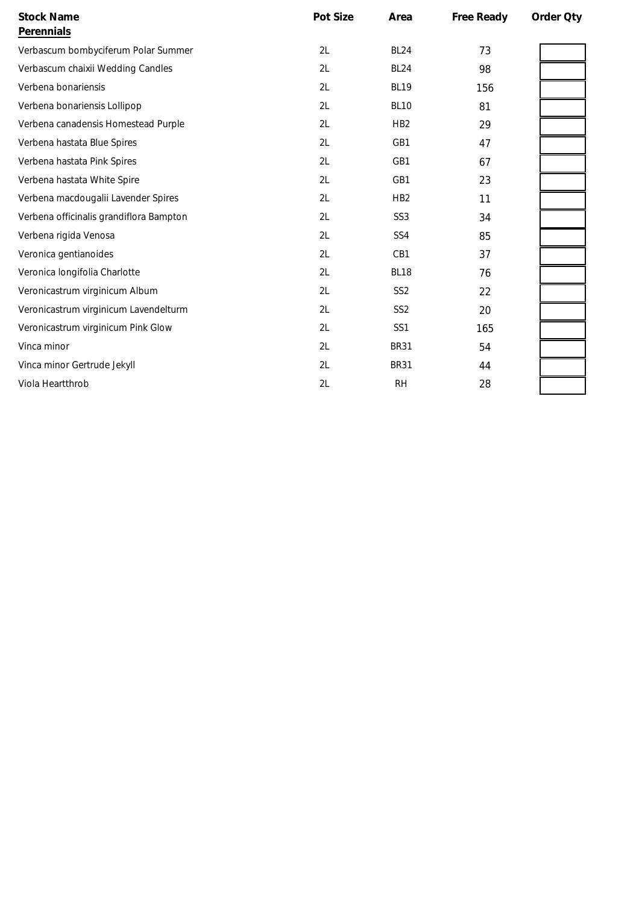| <b>Stock Name</b><br>Perennials         | Pot Size | Area            | Free Ready | Order Qty |
|-----------------------------------------|----------|-----------------|------------|-----------|
| Verbascum bombyciferum Polar Summer     | 2L       | <b>BL24</b>     | 73         |           |
| Verbascum chaixii Wedding Candles       | 2L       | <b>BL24</b>     | 98         |           |
| Verbena bonariensis                     | 2L       | <b>BL19</b>     | 156        |           |
| Verbena bonariensis Lollipop            | 2L       | <b>BL10</b>     | 81         |           |
| Verbena canadensis Homestead Purple     | 2L       | H <sub>B2</sub> | 29         |           |
| Verbena hastata Blue Spires             | 2L       | GB1             | 47         |           |
| Verbena hastata Pink Spires             | 2L       | GB1             | 67         |           |
| Verbena hastata White Spire             | 2L       | GB1             | 23         |           |
| Verbena macdougalii Lavender Spires     | 2L       | HB <sub>2</sub> | 11         |           |
| Verbena officinalis grandiflora Bampton | 2L       | SS <sub>3</sub> | 34         |           |
| Verbena rigida Venosa                   | 2L       | SS <sub>4</sub> | 85         |           |
| Veronica gentianoides                   | 2L       | CB1             | 37         |           |
| Veronica longifolia Charlotte           | 2L       | <b>BL18</b>     | 76         |           |
| Veronicastrum virginicum Album          | 2L       | SS <sub>2</sub> | 22         |           |
| Veronicastrum virginicum Lavendelturm   | 2L       | SS <sub>2</sub> | 20         |           |
| Veronicastrum virginicum Pink Glow      | 2L       | SS <sub>1</sub> | 165        |           |
| Vinca minor                             | 2L       | <b>BR31</b>     | 54         |           |
| Vinca minor Gertrude Jekyll             | 2L       | <b>BR31</b>     | 44         |           |
| Viola Heartthrob                        | 2L       | <b>RH</b>       | 28         |           |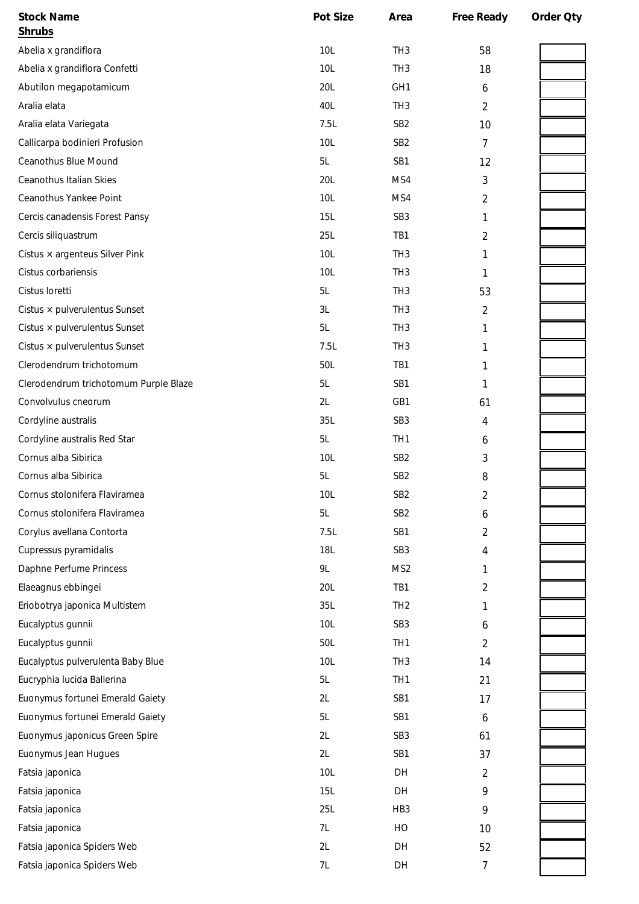| <b>Stock Name</b>                     | Pot Size   | Area            | Free Ready     | Order Oty |
|---------------------------------------|------------|-----------------|----------------|-----------|
| <b>Shrubs</b>                         |            |                 |                |           |
| Abelia x grandiflora                  | 10L        | TH <sub>3</sub> | 58             |           |
| Abelia x grandiflora Confetti         | 10L        | TH <sub>3</sub> | 18             |           |
| Abutilon megapotamicum                | 20L        | GH <sub>1</sub> | 6              |           |
| Aralia elata                          | 40L        | TH <sub>3</sub> | $\overline{2}$ |           |
| Aralia elata Variegata                | 7.5L       | SB <sub>2</sub> | 10             |           |
| Callicarpa bodinieri Profusion        | 10L        | SB <sub>2</sub> | $\overline{7}$ |           |
| Ceanothus Blue Mound                  | 5L         | SB1             | 12             |           |
| Ceanothus Italian Skies               | 20L        | MS4             | 3              |           |
| Ceanothus Yankee Point                | 10L        | MS4             | 2              |           |
| Cercis canadensis Forest Pansy        | 15L        | SB <sub>3</sub> | 1              |           |
| Cercis siliquastrum                   | 25L        | TB1             | 2              |           |
| Cistus $\times$ argenteus Silver Pink | 10L        | TH <sub>3</sub> | 1              |           |
| Cistus corbariensis                   | 10L        | TH <sub>3</sub> | 1              |           |
| Cistus loretti                        | 5L         | TH <sub>3</sub> | 53             |           |
| Cistus × pulverulentus Sunset         | 3L         | TH <sub>3</sub> | 2              |           |
| Cistus × pulverulentus Sunset         | 5L         | TH <sub>3</sub> | 1              |           |
| Cistus × pulverulentus Sunset         | 7.5L       | TH <sub>3</sub> | 1              |           |
| Clerodendrum trichotomum              | 50L        | TB1             | 1              |           |
| Clerodendrum trichotomum Purple Blaze | 5L         | SB1             | 1              |           |
| Convolvulus cneorum                   | 2L         | GB1             | 61             |           |
| Cordyline australis                   | 35L        | SB <sub>3</sub> | 4              |           |
| Cordyline australis Red Star          | 5L         | TH <sub>1</sub> | 6              |           |
| Cornus alba Sibirica                  | 10L        | SB <sub>2</sub> | 3              |           |
| Cornus alba Sibirica                  | 5L         | SB <sub>2</sub> | 8              |           |
| Cornus stolonifera Flaviramea         | 10L        | SB <sub>2</sub> | $\overline{2}$ |           |
| Cornus stolonifera Flaviramea         | 5L         | SB <sub>2</sub> | 6              |           |
| Corylus avellana Contorta             | 7.5L       | SB1             | 2              |           |
| Cupressus pyramidalis                 | <b>18L</b> | SB <sub>3</sub> | 4              |           |
| Daphne Perfume Princess               | 9L         | MS <sub>2</sub> | 1              |           |
| Elaeagnus ebbingei                    | 20L        | TB1             | 2              |           |
| Eriobotrya japonica Multistem         | 35L        | TH <sub>2</sub> | 1              |           |
| Eucalyptus gunnii                     | 10L        | SB <sub>3</sub> | 6              |           |
| Eucalyptus gunnii                     | 50L        | TH <sub>1</sub> | $\overline{2}$ |           |
| Eucalyptus pulverulenta Baby Blue     | 10L        | TH <sub>3</sub> | 14             |           |
| Eucryphia lucida Ballerina            | 5L         | TH <sub>1</sub> | 21             |           |
| Euonymus fortunei Emerald Gaiety      | 2L         | SB1             | 17             |           |
| Euonymus fortunei Emerald Gaiety      | 5L         | SB1             | 6              |           |
| Euonymus japonicus Green Spire        | 2L         | SB <sub>3</sub> | 61             |           |
| Euonymus Jean Hugues                  | 2L         | SB1             | 37             |           |
| Fatsia japonica                       | 10L        | DH              | 2              |           |
| Fatsia japonica                       | 15L        | DH              | 9              |           |
| Fatsia japonica                       | 25L        | HB <sub>3</sub> | 9              |           |
| Fatsia japonica                       | 7L         | HO              | 10             |           |
| Fatsia japonica Spiders Web           | 2L         | DH              | 52             |           |
| Fatsia japonica Spiders Web           | 7L         | DH              | $\overline{7}$ |           |
|                                       |            |                 |                |           |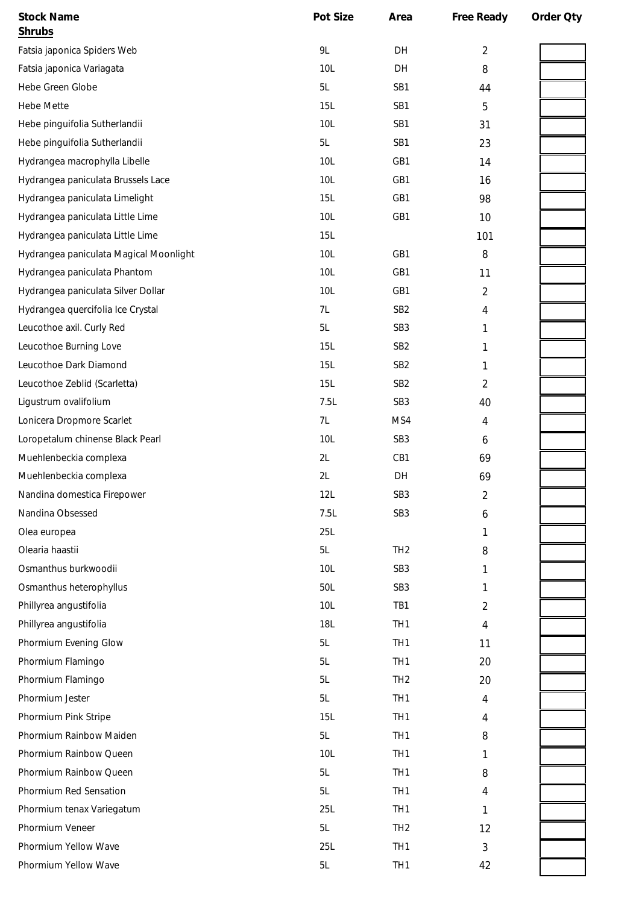| <b>Stock Name</b>                      | Pot Size        | Area            | Free Ready     | Order Oty |
|----------------------------------------|-----------------|-----------------|----------------|-----------|
| <b>Shrubs</b>                          |                 |                 |                |           |
| Fatsia japonica Spiders Web            | 9L              | DH              | $\overline{2}$ |           |
| Fatsia japonica Variagata              | 10L             | DH              | 8              |           |
| Hebe Green Globe                       | 5L              | SB1             | 44             |           |
| <b>Hebe Mette</b>                      | 15L             | SB1             | 5              |           |
| Hebe pinguifolia Sutherlandii          | 10L             | SB1             | 31             |           |
| Hebe pinguifolia Sutherlandii          | 5L              | SB1             | 23             |           |
| Hydrangea macrophylla Libelle          | 10L             | GB1             | 14             |           |
| Hydrangea paniculata Brussels Lace     | 10L             | GB1             | 16             |           |
| Hydrangea paniculata Limelight         | <b>15L</b>      | GB1             | 98             |           |
| Hydrangea paniculata Little Lime       | 10L             | GB1             | 10             |           |
| Hydrangea paniculata Little Lime       | 15L             |                 | 101            |           |
| Hydrangea paniculata Magical Moonlight | 10L             | GB1             | 8              |           |
| Hydrangea paniculata Phantom           | 10L             | GB1             | 11             |           |
| Hydrangea paniculata Silver Dollar     | 10L             | GB1             | $\overline{2}$ |           |
| Hydrangea quercifolia Ice Crystal      | 7L              | SB <sub>2</sub> | 4              |           |
| Leucothoe axil. Curly Red              | 5L              | SB <sub>3</sub> | 1              |           |
| Leucothoe Burning Love                 | 15L             | SB <sub>2</sub> | 1              |           |
| Leucothoe Dark Diamond                 | 15L             | SB <sub>2</sub> | 1              |           |
| Leucothoe Zeblid (Scarletta)           | 15L             | SB <sub>2</sub> | 2              |           |
| Ligustrum ovalifolium                  | 7.5L            | SB <sub>3</sub> | 40             |           |
| Lonicera Dropmore Scarlet              | 7L              | MS4             | 4              |           |
| Loropetalum chinense Black Pearl       | 10L             | SB <sub>3</sub> | 6              |           |
| Muehlenbeckia complexa                 | 2L              | CB1             | 69             |           |
| Muehlenbeckia complexa                 | 2L              | DH              | 69             |           |
| Nandina domestica Firepower            | 12L             | SB <sub>3</sub> | 2              |           |
| Nandina Obsessed                       | 7.5L            | SB <sub>3</sub> | 6              |           |
| Olea europea                           | 25L             |                 | 1              |           |
| Olearia haastii                        | 5L              | TH <sub>2</sub> | 8              |           |
| Osmanthus burkwoodii                   | 10L             | SB <sub>3</sub> | 1              |           |
| Osmanthus heterophyllus                | 50L             | SB <sub>3</sub> | 1              |           |
| Phillyrea angustifolia                 | 10 <sub>L</sub> | TB1             | 2              |           |
| Phillyrea angustifolia                 | <b>18L</b>      | TH <sub>1</sub> | 4              |           |
| Phormium Evening Glow                  | 5L              | TH <sub>1</sub> | 11             |           |
| Phormium Flamingo                      | 5L              | TH <sub>1</sub> | 20             |           |
| Phormium Flamingo                      | 5L              | TH <sub>2</sub> | 20             |           |
| Phormium Jester                        | 5L              | TH <sub>1</sub> | 4              |           |
| Phormium Pink Stripe                   | 15L             | TH <sub>1</sub> | 4              |           |
| Phormium Rainbow Maiden                | 5L              | TH <sub>1</sub> | 8              |           |
| Phormium Rainbow Queen                 | 10 <sub>L</sub> | TH <sub>1</sub> | 1              |           |
| Phormium Rainbow Queen                 | 5L              | TH <sub>1</sub> | 8              |           |
| Phormium Red Sensation                 | 5L              | TH <sub>1</sub> | 4              |           |
| Phormium tenax Variegatum              | 25L             | TH <sub>1</sub> | 1              |           |
| Phormium Veneer                        | 5L              | TH <sub>2</sub> | 12             |           |
| Phormium Yellow Wave                   | 25L             | TH <sub>1</sub> | $\mathfrak{Z}$ |           |
| Phormium Yellow Wave                   | 5L              | TH <sub>1</sub> | 42             |           |
|                                        |                 |                 |                |           |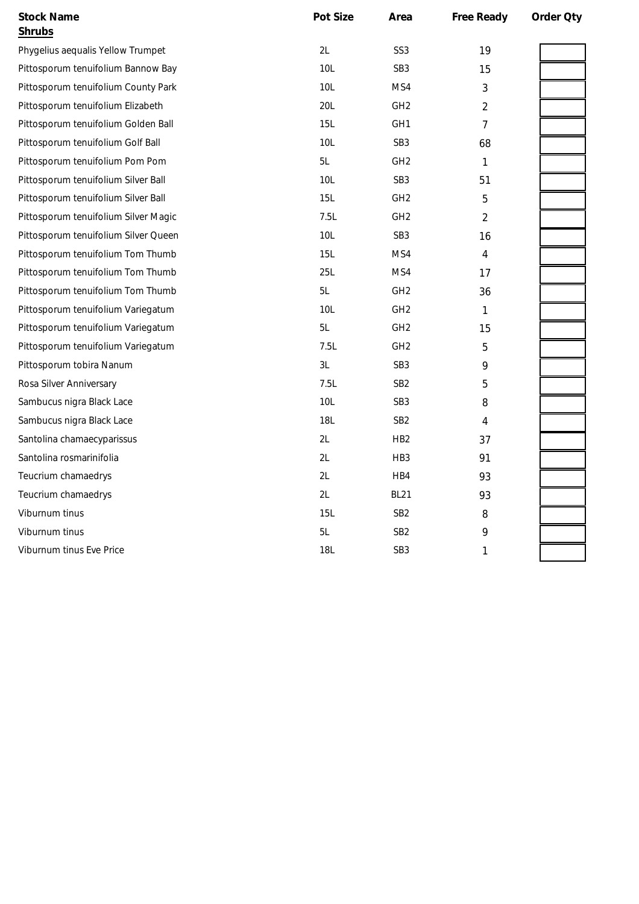| <b>Stock Name</b>                    | Pot Size   | Area            | Free Ready     | Order Qty |
|--------------------------------------|------------|-----------------|----------------|-----------|
| Shrubs                               |            |                 |                |           |
| Phygelius aequalis Yellow Trumpet    | 2L         | SS <sub>3</sub> | 19             |           |
| Pittosporum tenuifolium Bannow Bay   | 10L        | SB <sub>3</sub> | 15             |           |
| Pittosporum tenuifolium County Park  | 10L        | MS4             | 3              |           |
| Pittosporum tenuifolium Elizabeth    | 20L        | GH <sub>2</sub> | 2              |           |
| Pittosporum tenuifolium Golden Ball  | 15L        | GH <sub>1</sub> | 7              |           |
| Pittosporum tenuifolium Golf Ball    | 10L        | SB <sub>3</sub> | 68             |           |
| Pittosporum tenuifolium Pom Pom      | 5L         | GH <sub>2</sub> | $\mathbf{1}$   |           |
| Pittosporum tenuifolium Silver Ball  | 10L        | SB <sub>3</sub> | 51             |           |
| Pittosporum tenuifolium Silver Ball  | <b>15L</b> | GH <sub>2</sub> | 5              |           |
| Pittosporum tenuifolium Silver Magic | 7.5L       | GH <sub>2</sub> | $\overline{2}$ |           |
| Pittosporum tenuifolium Silver Queen | 10L        | SB <sub>3</sub> | 16             |           |
| Pittosporum tenuifolium Tom Thumb    | 15L        | MS4             | 4              |           |
| Pittosporum tenuifolium Tom Thumb    | 25L        | MS4             | 17             |           |
| Pittosporum tenuifolium Tom Thumb    | 5L         | GH <sub>2</sub> | 36             |           |
| Pittosporum tenuifolium Variegatum   | 10L        | GH <sub>2</sub> | $\mathbf{1}$   |           |
| Pittosporum tenuifolium Variegatum   | 5L         | GH <sub>2</sub> | 15             |           |
| Pittosporum tenuifolium Variegatum   | 7.5L       | GH <sub>2</sub> | 5              |           |
| Pittosporum tobira Nanum             | 3L         | SB <sub>3</sub> | 9              |           |
| Rosa Silver Anniversary              | 7.5L       | SB <sub>2</sub> | 5              |           |
| Sambucus nigra Black Lace            | 10L        | SB <sub>3</sub> | 8              |           |
| Sambucus nigra Black Lace            | 18L        | SB <sub>2</sub> | 4              |           |
| Santolina chamaecyparissus           | 2L         | H <sub>B2</sub> | 37             |           |
| Santolina rosmarinifolia             | 2L         | HB <sub>3</sub> | 91             |           |
| Teucrium chamaedrys                  | 2L         | HB4             | 93             |           |
| Teucrium chamaedrys                  | 2L         | <b>BL21</b>     | 93             |           |
| Viburnum tinus                       | 15L        | SB <sub>2</sub> | 8              |           |
| Viburnum tinus                       | 5L         | SB <sub>2</sub> | 9              |           |
| Viburnum tinus Eve Price             | <b>18L</b> | SB <sub>3</sub> | 1              |           |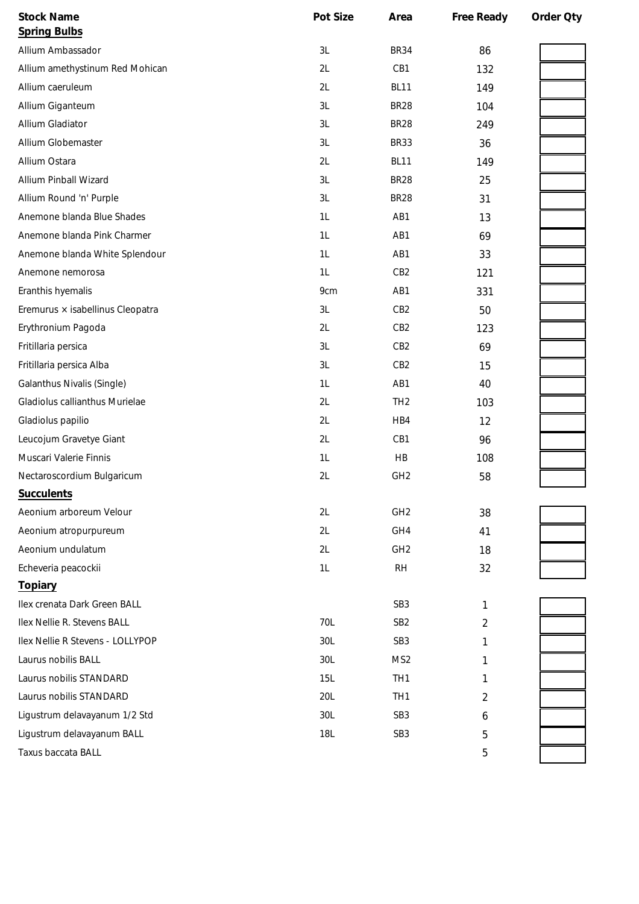|            | Area            |                | Order Qty  |
|------------|-----------------|----------------|------------|
|            |                 |                |            |
| 3L         | <b>BR34</b>     | 86             |            |
| 2L         | CB1             | 132            |            |
| 2L         | <b>BL11</b>     | 149            |            |
| 3L         | <b>BR28</b>     | 104            |            |
| 3L         | <b>BR28</b>     | 249            |            |
| 3L         | <b>BR33</b>     | 36             |            |
| 2L         | <b>BL11</b>     | 149            |            |
| 3L         | <b>BR28</b>     | 25             |            |
| 3L         | <b>BR28</b>     | 31             |            |
| 1L         | AB1             | 13             |            |
| 1L         | AB1             | 69             |            |
| 1L         | AB1             | 33             |            |
| 1L         | CB <sub>2</sub> | 121            |            |
| 9cm        | AB1             | 331            |            |
| 3L         | CB <sub>2</sub> | 50             |            |
| 2L         | CB <sub>2</sub> | 123            |            |
| 3L         | CB <sub>2</sub> | 69             |            |
| 3L         | CB <sub>2</sub> | 15             |            |
| 1L         | AB1             | 40             |            |
| 2L         | TH <sub>2</sub> | 103            |            |
| 2L         | HB4             | 12             |            |
| 2L         | CB1             | 96             |            |
| 1L         | HB              | 108            |            |
| 2L         | GH <sub>2</sub> | 58             |            |
|            |                 |                |            |
| 2L         | GH <sub>2</sub> | 38             |            |
| 2L         | GH4             | 41             |            |
| 2L         | GH <sub>2</sub> | 18             |            |
| 1L         | <b>RH</b>       | 32             |            |
|            |                 |                |            |
|            | SB <sub>3</sub> | 1              |            |
| 70L        | SB <sub>2</sub> | $\overline{2}$ |            |
| 30L        | SB <sub>3</sub> | 1              |            |
| 30L        | MS <sub>2</sub> | 1              |            |
| <b>15L</b> | TH <sub>1</sub> | 1              |            |
| 20L        | TH <sub>1</sub> | 2              |            |
| 30L        | SB <sub>3</sub> | 6              |            |
| <b>18L</b> | SB <sub>3</sub> | 5              |            |
|            |                 | 5              |            |
|            | Pot Size        |                | Free Ready |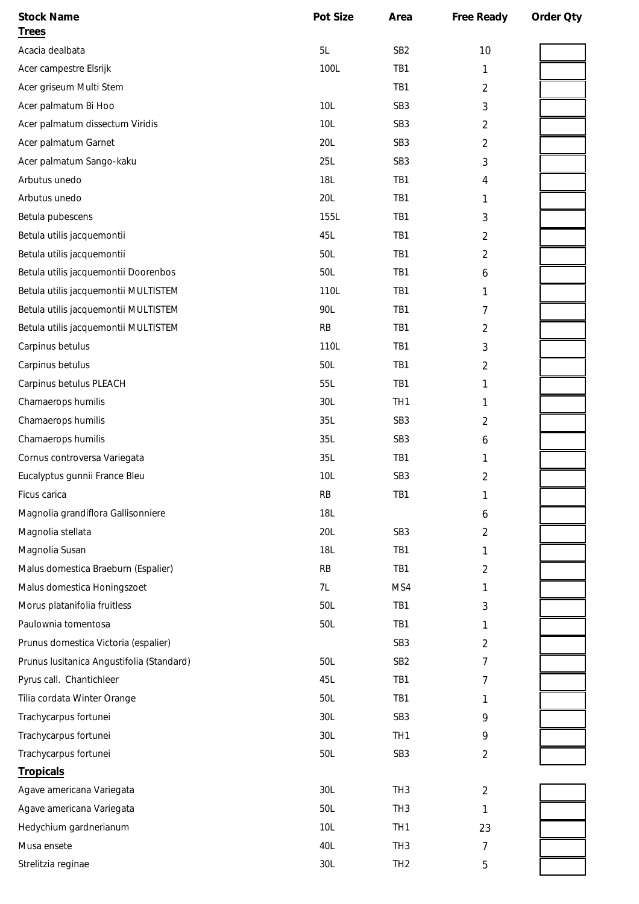| <b>Stock Name</b>                         | Pot Size        | Area            | Free Ready     | Order Oty |
|-------------------------------------------|-----------------|-----------------|----------------|-----------|
| <b>Trees</b>                              |                 |                 |                |           |
| Acacia dealbata                           | 5L              | SB <sub>2</sub> | 10             |           |
| Acer campestre Elsrijk                    | 100L            | TB1             | 1              |           |
| Acer griseum Multi Stem                   |                 | TB1             | $\overline{c}$ |           |
| Acer palmatum Bi Hoo                      | 10L             | SB <sub>3</sub> | 3              |           |
| Acer palmatum dissectum Viridis           | 10L             | SB <sub>3</sub> | $\overline{2}$ |           |
| Acer palmatum Garnet                      | 20L             | SB <sub>3</sub> | $\overline{2}$ |           |
| Acer palmatum Sango-kaku                  | 25L             | SB <sub>3</sub> | 3              |           |
| Arbutus unedo                             | <b>18L</b>      | TB1             | 4              |           |
| Arbutus unedo                             | 20L             | TB1             | 1              |           |
| Betula pubescens                          | 155L            | TB1             | 3              |           |
| Betula utilis jacquemontii                | 45L             | TB1             | 2              |           |
| Betula utilis jacquemontii                | 50L             | TB1             | $\overline{c}$ |           |
| Betula utilis jacquemontii Doorenbos      | 50L             | TB1             | 6              |           |
| Betula utilis jacquemontii MULTISTEM      | 110L            | TB1             | 1              |           |
| Betula utilis jacquemontii MULTISTEM      | 90L             | TB1             | 7              |           |
| Betula utilis jacquemontii MULTISTEM      | RB              | TB1             | $\overline{2}$ |           |
| Carpinus betulus                          | 110L            | TB1             | 3              |           |
| Carpinus betulus                          | 50L             | TB1             | 2              |           |
| Carpinus betulus PLEACH                   | 55L             | TB1             | 1              |           |
| Chamaerops humilis                        | 30L             | TH <sub>1</sub> | 1              |           |
| Chamaerops humilis                        | 35L             | SB <sub>3</sub> | 2              |           |
| Chamaerops humilis                        | 35L             | SB <sub>3</sub> | 6              |           |
| Cornus controversa Variegata              | 35L             | TB1             | 1              |           |
| Eucalyptus gunnii France Bleu             | 10L             | SB <sub>3</sub> | $\overline{c}$ |           |
| Ficus carica                              | <b>RB</b>       | TB1             |                |           |
| Magnolia grandiflora Gallisonniere        | 18L             |                 | 6              |           |
| Magnolia stellata                         | 20L             | SB <sub>3</sub> | 2              |           |
| Magnolia Susan                            | 18L             | TB1             | 1              |           |
| Malus domestica Braeburn (Espalier)       | <b>RB</b>       | TB1             | 2              |           |
| Malus domestica Honingszoet               | 7L              | MS4             | 1              |           |
| Morus platanifolia fruitless              | 50L             | TB1             | 3              |           |
| Paulownia tomentosa                       | 50L             | TB1             | 1              |           |
| Prunus domestica Victoria (espalier)      |                 | SB <sub>3</sub> | 2              |           |
| Prunus Iusitanica Angustifolia (Standard) | 50L             | SB <sub>2</sub> | 7              |           |
| Pyrus call. Chantichleer                  | 45L             | TB1             | 7              |           |
| Tilia cordata Winter Orange               | 50L             | TB1             | 1              |           |
| Trachycarpus fortunei                     | 30L             | SB <sub>3</sub> | 9              |           |
| Trachycarpus fortunei                     | 30L             | TH <sub>1</sub> | 9              |           |
| Trachycarpus fortunei                     | 50L             | SB <sub>3</sub> | $\overline{2}$ |           |
| Tropicals                                 |                 |                 |                |           |
| Agave americana Variegata                 | 30L             | TH <sub>3</sub> | $\overline{2}$ |           |
| Agave americana Variegata                 | 50L             | TH <sub>3</sub> | 1              |           |
| Hedychium gardnerianum                    | 10 <sub>L</sub> | TH <sub>1</sub> | 23             |           |
| Musa ensete                               | 40L             | TH <sub>3</sub> | 7              |           |
| Strelitzia reginae                        | 30L             | TH <sub>2</sub> | 5              |           |